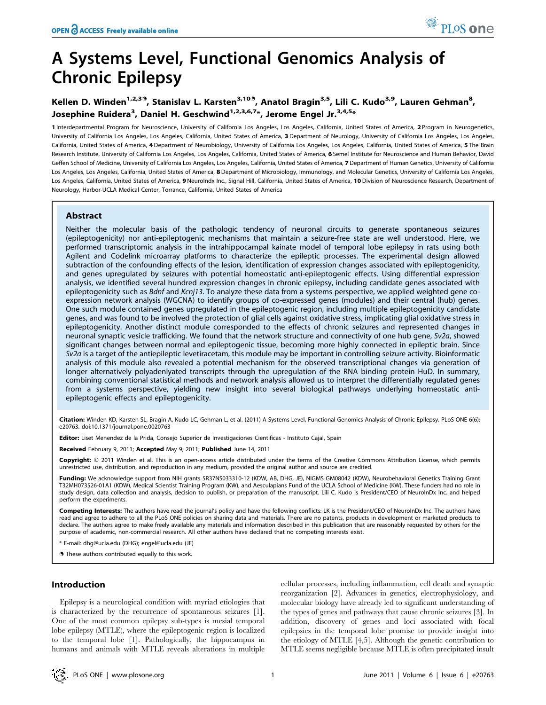# A Systems Level, Functional Genomics Analysis of Chronic Epilepsy

## Kellen D. Winden<sup>1,2,39</sup>, Stanislav L. Karsten<sup>3,109</sup>, Anatol Bragin<sup>3,5</sup>, Lili C. Kudo<sup>3,9</sup>, Lauren Gehman<sup>8</sup>, Josephine Ruidera<sup>3</sup>, Daniel H. Geschwind<sup>1,2,3,6,7</sup>\*, Jerome Engel Jr.<sup>3,4,5</sup>\*

1 Interdepartmental Program for Neuroscience, University of California Los Angeles, Los Angeles, California, United States of America, 2 Program in Neurogenetics, University of California Los Angeles, Los Angeles, California, United States of America, 3 Department of Neurology, University of California Los Angeles, Los Angeles, California, United States of America, 4Department of Neurobiology, University of California Los Angeles, Los Angeles, California, United States of America, 5 The Brain Research Institute, University of California Los Angeles, Los Angeles, California, United States of America, 6 Semel Institute for Neuroscience and Human Behavior, David Geffen School of Medicine, University of California Los Angeles, Los Angeles, California, United States of America, 7Department of Human Genetics, University of California Los Angeles, Los Angeles, California, United States of America, 8 Department of Microbiology, Immunology, and Molecular Genetics, University of California Los Angeles, Los Angeles, California, United States of America, 9 NeuroIndx Inc., Signal Hill, California, United States of America, 10 Division of Neuroscience Research, Department of Neurology, Harbor-UCLA Medical Center, Torrance, California, United States of America

## Abstract

Neither the molecular basis of the pathologic tendency of neuronal circuits to generate spontaneous seizures (epileptogenicity) nor anti-epileptogenic mechanisms that maintain a seizure-free state are well understood. Here, we performed transcriptomic analysis in the intrahippocampal kainate model of temporal lobe epilepsy in rats using both Agilent and Codelink microarray platforms to characterize the epileptic processes. The experimental design allowed subtraction of the confounding effects of the lesion, identification of expression changes associated with epileptogenicity, and genes upregulated by seizures with potential homeostatic anti-epileptogenic effects. Using differential expression analysis, we identified several hundred expression changes in chronic epilepsy, including candidate genes associated with epileptogenicity such as Bdnf and Kcnj13. To analyze these data from a systems perspective, we applied weighted gene coexpression network analysis (WGCNA) to identify groups of co-expressed genes (modules) and their central (hub) genes. One such module contained genes upregulated in the epileptogenic region, including multiple epileptogenicity candidate genes, and was found to be involved the protection of glial cells against oxidative stress, implicating glial oxidative stress in epileptogenicity. Another distinct module corresponded to the effects of chronic seizures and represented changes in neuronal synaptic vesicle trafficking. We found that the network structure and connectivity of one hub gene, Sv2a, showed significant changes between normal and epileptogenic tissue, becoming more highly connected in epileptic brain. Since Sv2a is a target of the antiepileptic levetiracetam, this module may be important in controlling seizure activity. Bioinformatic analysis of this module also revealed a potential mechanism for the observed transcriptional changes via generation of longer alternatively polyadenlyated transcripts through the upregulation of the RNA binding protein HuD. In summary, combining conventional statistical methods and network analysis allowed us to interpret the differentially regulated genes from a systems perspective, yielding new insight into several biological pathways underlying homeostatic antiepileptogenic effects and epileptogenicity.

Citation: Winden KD, Karsten SL, Bragin A, Kudo LC, Gehman L, et al. (2011) A Systems Level, Functional Genomics Analysis of Chronic Epilepsy. PLoS ONE 6(6): e20763. doi:10.1371/journal.pone.0020763

Editor: Liset Menendez de la Prida, Consejo Superior de Investigaciones Cientificas - Instituto Cajal, Spain

Received February 9, 2011; Accepted May 9, 2011; Published June 14, 2011

Copyright: @ 2011 Winden et al. This is an open-access article distributed under the terms of the Creative Commons Attribution License, which permits unrestricted use, distribution, and reproduction in any medium, provided the original author and source are credited.

Funding: We acknowledge support from NIH grants 5R37NS033310-12 (KDW, AB, DHG, JE), NIGMS GM08042 (KDW), Neurobehavioral Genetics Training Grant T32MH073526-01A1 (KDW), Medical Scientist Training Program (KW), and Aesculapians Fund of the UCLA School of Medicine (KW). These funders had no role in study design, data collection and analysis, decision to publish, or preparation of the manuscript. Lili C. Kudo is President/CEO of NeuroInDx Inc. and helped perform the experiments.

Competing Interests: The authors have read the journal's policy and have the following conflicts: LK is the President/CEO of NeuroInDx Inc. The authors have read and agree to adhere to all the PLoS ONE policies on sharing data and materials. There are no patents, products in development or marketed products to declare. The authors agree to make freely available any materials and information described in this publication that are reasonably requested by others for the purpose of academic, non-commercial research. All other authors have declared that no competing interests exist.

\* E-mail: dhg@ucla.edu (DHG); engel@ucla.edu (JE)

**.** These authors contributed equally to this work.

## Introduction

Epilepsy is a neurological condition with myriad etiologies that is characterized by the recurrence of spontaneous seizures [1]. One of the most common epilepsy sub-types is mesial temporal lobe epilepsy (MTLE), where the epileptogenic region is localized to the temporal lobe [1]. Pathologically, the hippocampus in humans and animals with MTLE reveals alterations in multiple

cellular processes, including inflammation, cell death and synaptic reorganization [2]. Advances in genetics, electrophysiology, and molecular biology have already led to significant understanding of the types of genes and pathways that cause chronic seizures [3]. In addition, discovery of genes and loci associated with focal epilepsies in the temporal lobe promise to provide insight into the etiology of MTLE [4,5]. Although the genetic contribution to MTLE seems negligible because MTLE is often precipitated insult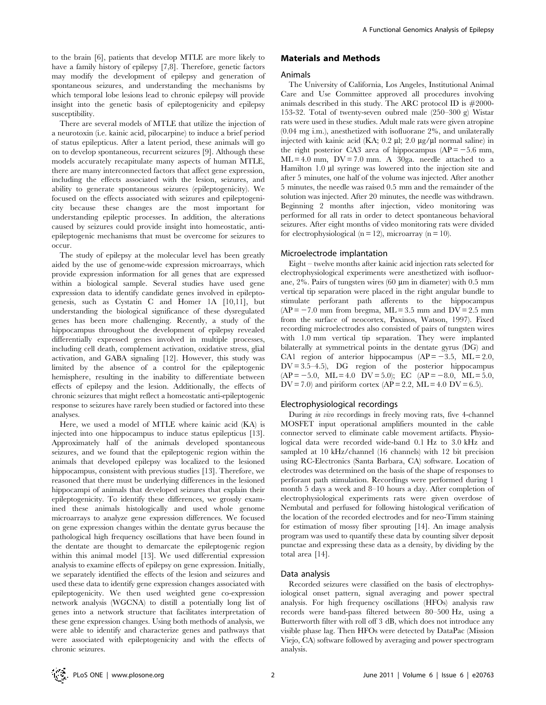to the brain [6], patients that develop MTLE are more likely to have a family history of epilepsy [7,8]. Therefore, genetic factors may modify the development of epilepsy and generation of spontaneous seizures, and understanding the mechanisms by which temporal lobe lesions lead to chronic epilepsy will provide insight into the genetic basis of epileptogenicity and epilepsy susceptibility.

There are several models of MTLE that utilize the injection of a neurotoxin (i.e. kainic acid, pilocarpine) to induce a brief period of status epilepticus. After a latent period, these animals will go on to develop spontaneous, recurrent seizures [9]. Although these models accurately recapitulate many aspects of human MTLE, there are many interconnected factors that affect gene expression, including the effects associated with the lesion, seizures, and ability to generate spontaneous seizures (epileptogenicity). We focused on the effects associated with seizures and epileptogenicity because these changes are the most important for understanding epileptic processes. In addition, the alterations caused by seizures could provide insight into homeostatic, antiepileptogenic mechanisms that must be overcome for seizures to occur.

The study of epilepsy at the molecular level has been greatly aided by the use of genome-wide expression microarrays, which provide expression information for all genes that are expressed within a biological sample. Several studies have used gene expression data to identify candidate genes involved in epileptogenesis, such as Cystatin C and Homer 1A [10,11], but understanding the biological significance of these dysregulated genes has been more challenging. Recently, a study of the hippocampus throughout the development of epilepsy revealed differentially expressed genes involved in multiple processes, including cell death, complement activation, oxidative stress, glial activation, and GABA signaling [12]. However, this study was limited by the absence of a control for the epileptogenic hemisphere, resulting in the inability to differentiate between effects of epilepsy and the lesion. Additionally, the effects of chronic seizures that might reflect a homeostatic anti-epileptogenic response to seizures have rarely been studied or factored into these analyses.

Here, we used a model of MTLE where kainic acid (KA) is injected into one hippocampus to induce status epilepticus [13]. Approximately half of the animals developed spontaneous seizures, and we found that the epileptogenic region within the animals that developed epilepsy was localized to the lesioned hippocampus, consistent with previous studies [13]. Therefore, we reasoned that there must be underlying differences in the lesioned hippocampi of animals that developed seizures that explain their epileptogenicity. To identify these differences, we grossly examined these animals histologically and used whole genome microarrays to analyze gene expression differences. We focused on gene expression changes within the dentate gyrus because the pathological high frequency oscillations that have been found in the dentate are thought to demarcate the epileptogenic region within this animal model [13]. We used differential expression analysis to examine effects of epilepsy on gene expression. Initially, we separately identified the effects of the lesion and seizures and used these data to identify gene expression changes associated with epileptogenicity. We then used weighted gene co-expression network analysis (WGCNA) to distill a potentially long list of genes into a network structure that facilitates interpretation of these gene expression changes. Using both methods of analysis, we were able to identify and characterize genes and pathways that were associated with epileptogenicity and with the effects of chronic seizures.

#### Materials and Methods

#### Animals

The University of California, Los Angeles, Institutional Animal Care and Use Committee approved all procedures involving animals described in this study. The ARC protocol ID is  $\#2000$ -153-32. Total of twenty-seven oubred male (250–300 g) Wistar rats were used in these studies. Adult male rats were given atropine (0.04 mg i.m.), anesthetized with isofluorane 2%, and unilaterally injected with kainic acid (KA;  $0.2 \mu$ l;  $2.0 \mu$ g/ $\mu$ l normal saline) in the right posterior CA3 area of hippocampus  $AP = -5.6$  mm,  $ML = 4.0$  mm,  $DV = 7.0$  mm. A 30ga. needle attached to a Hamilton 1.0 µl syringe was lowered into the injection site and after 5 minutes, one half of the volume was injected. After another 5 minutes, the needle was raised 0.5 mm and the remainder of the solution was injected. After 20 minutes, the needle was withdrawn. Beginning 2 months after injection, video monitoring was performed for all rats in order to detect spontaneous behavioral seizures. After eight months of video monitoring rats were divided for electrophysiological ( $n = 12$ ), microarray ( $n = 10$ ).

#### Microelectrode implantation

Eight – twelve months after kainic acid injection rats selected for electrophysiological experiments were anesthetized with isofluorane,  $2\%$ . Pairs of tungsten wires (60  $\mu$ m in diameter) with 0.5 mm vertical tip separation were placed in the right angular bundle to stimulate perforant path afferents to the hippocampus  $AP = -7.0$  mm from bregma,  $ML = 3.5$  mm and  $DV = 2.5$  mm from the surface of neocortex, Paxinos, Watson, 1997). Fixed recording microelectrodes also consisted of pairs of tungsten wires with 1.0 mm vertical tip separation. They were implanted bilaterally at symmetrical points in the dentate gyrus (DG) and CA1 region of anterior hippocampus  $AP = -3.5$ ,  $ML = 2.0$ , DV = 3.5–4.5), DG region of the posterior hippocampus  $(AP = -5.0, ML = 4.0 DV = 5.0); EC (AP = -8.0, ML = 5.0,$  $DV = 7.0$ ) and piriform cortex (AP = 2.2, ML = 4.0 DV = 6.5).

## Electrophysiological recordings

During in vivo recordings in freely moving rats, five 4-channel MOSFET input operational amplifiers mounted in the cable connector served to eliminate cable movement artifacts. Physiological data were recorded wide-band 0.1 Hz to 3.0 kHz and sampled at 10 kHz/channel (16 channels) with 12 bit precision using RC-Electronics (Santa Barbara, CA) software. Location of electrodes was determined on the basis of the shape of responses to perforant path stimulation. Recordings were performed during 1 month 5 days a week and 8–10 hours a day. After completion of electrophysiological experiments rats were given overdose of Nembutal and perfused for following histological verification of the location of the recorded electrodes and for neo-Timm staining for estimation of mossy fiber sprouting [14]. An image analysis program was used to quantify these data by counting silver deposit punctae and expressing these data as a density, by dividing by the total area [14].

#### Data analysis

Recorded seizures were classified on the basis of electrophysiological onset pattern, signal averaging and power spectral analysis. For high frequency oscillations (HFOs) analysis raw records were band-pass filtered between 80–500 Hz, using a Butterworth filter with roll off 3 dB, which does not introduce any visible phase lag. Then HFOs were detected by DataPac (Mission Viejo, CA) software followed by averaging and power spectrogram analysis.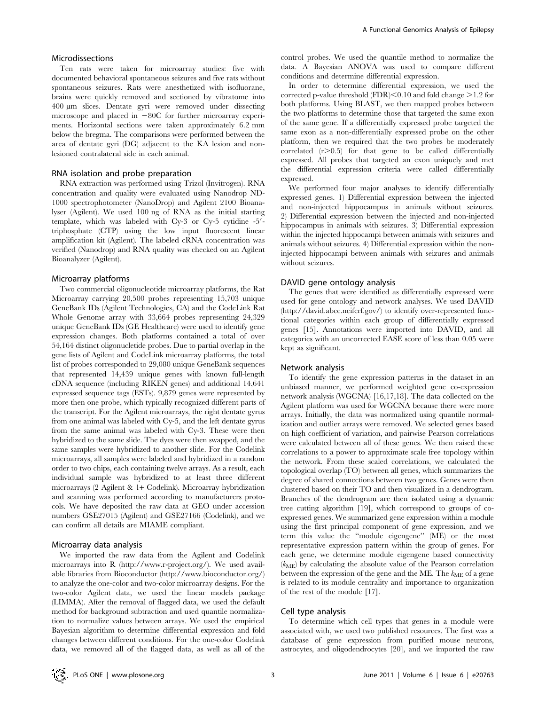#### Microdissections

Ten rats were taken for microarray studies: five with documented behavioral spontaneous seizures and five rats without spontaneous seizures. Rats were anesthetized with isofluorane, brains were quickly removed and sectioned by vibratome into 400 mm slices. Dentate gyri were removed under dissecting microscope and placed in -80C for further microarray experiments. Horizontal sections were taken approximately 6.2 mm below the bregma. The comparisons were performed between the area of dentate gyri (DG) adjacent to the KA lesion and nonlesioned contralateral side in each animal.

## RNA isolation and probe preparation

RNA extraction was performed using Trizol (Invitrogen). RNA concentration and quality were evaluated using Nanodrop ND-1000 spectrophotometer (NanoDrop) and Agilent 2100 Bioanalyser (Agilent). We used 100 ng of RNA as the initial starting template, which was labeled with Cy-3 or Cy-5 cytidine  $-5'$ triphosphate (CTP) using the low input fluorescent linear amplification kit (Agilent). The labeled cRNA concentration was verified (Nanodrop) and RNA quality was checked on an Agilent Bioanalyzer (Agilent).

#### Microarray platforms

Two commercial oligonucleotide microarray platforms, the Rat Microarray carrying 20,500 probes representing 15,703 unique GeneBank IDs (Agilent Technologies, CA) and the CodeLink Rat Whole Genome array with 33,664 probes representing 24,329 unique GeneBank IDs (GE Healthcare) were used to identify gene expression changes. Both platforms contained a total of over 54,164 distinct oligonucletide probes. Due to partial overlap in the gene lists of Agilent and CodeLink microarray platforms, the total list of probes corresponded to 29,080 unique GeneBank sequences that represented 14,439 unique genes with known full-length cDNA sequence (including RIKEN genes) and additional 14,641 expressed sequence tags (ESTs). 9,879 genes were represented by more then one probe, which typically recognized different parts of the transcript. For the Agilent microarrays, the right dentate gyrus from one animal was labeled with Cy-5, and the left dentate gyrus from the same animal was labeled with Cy-3. These were then hybridized to the same slide. The dyes were then swapped, and the same samples were hybridized to another slide. For the Codelink microarrays, all samples were labeled and hybridized in a random order to two chips, each containing twelve arrays. As a result, each individual sample was hybridized to at least three different microarrays (2 Agilent & 1+ Codelink). Microarray hybridization and scanning was performed according to manufacturers protocols. We have deposited the raw data at GEO under accession numbers GSE27015 (Agilent) and GSE27166 (Codelink), and we can confirm all details are MIAME compliant.

#### Microarray data analysis

We imported the raw data from the Agilent and Codelink microarrays into R (http://www.r-project.org/). We used available libraries from Bioconductor (http://www.bioconductor.org/) to analyze the one-color and two-color microarray designs. For the two-color Agilent data, we used the linear models package (LIMMA). After the removal of flagged data, we used the default method for background subtraction and used quantile normalization to normalize values between arrays. We used the empirical Bayesian algorithm to determine differential expression and fold changes between different conditions. For the one-color Codelink data, we removed all of the flagged data, as well as all of the

control probes. We used the quantile method to normalize the data. A Bayesian ANOVA was used to compare different conditions and determine differential expression.

In order to determine differential expression, we used the corrected p-value threshold (FDR) $<$ 0.10 and fold change  $>$ 1.2 for both platforms. Using BLAST, we then mapped probes between the two platforms to determine those that targeted the same exon of the same gene. If a differentially expressed probe targeted the same exon as a non-differentially expressed probe on the other platform, then we required that the two probes be moderately correlated  $(r>0.5)$  for that gene to be called differentially expressed. All probes that targeted an exon uniquely and met the differential expression criteria were called differentially expressed.

We performed four major analyses to identify differentially expressed genes. 1) Differential expression between the injected and non-injected hippocampus in animals without seizures. 2) Differential expression between the injected and non-injected hippocampus in animals with seizures. 3) Differential expression within the injected hippocampi between animals with seizures and animals without seizures. 4) Differential expression within the noninjected hippocampi between animals with seizures and animals without seizures.

### DAVID gene ontology analysis

The genes that were identified as differentially expressed were used for gene ontology and network analyses. We used DAVID (http://david.abcc.ncifcrf.gov/) to identify over-represented functional categories within each group of differentially expressed genes [15]. Annotations were imported into DAVID, and all categories with an uncorrected EASE score of less than 0.05 were kept as significant.

#### Network analysis

To identify the gene expression patterns in the dataset in an unbiased manner, we performed weighted gene co-expression network analysis (WGCNA) [16,17,18]. The data collected on the Agilent platform was used for WGCNA because there were more arrays. Initially, the data was normalized using quantile normalization and outlier arrays were removed. We selected genes based on high coefficient of variation, and pairwise Pearson correlations were calculated between all of these genes. We then raised these correlations to a power to approximate scale free topology within the network. From these scaled correlations, we calculated the topological overlap (TO) between all genes, which summarizes the degree of shared connections between two genes. Genes were then clustered based on their TO and then visualized in a dendrogram. Branches of the dendrogram are then isolated using a dynamic tree cutting algorithm [19], which correspond to groups of coexpressed genes. We summarized gene expression within a module using the first principal component of gene expression, and we term this value the ''module eigengene'' (ME) or the most representative expression pattern within the group of genes. For each gene, we determine module eigengene based connectivity  $(k<sub>ME</sub>)$  by calculating the absolute value of the Pearson correlation between the expression of the gene and the ME. The  $k_{\text{ME}}$  of a gene is related to its module centrality and importance to organization of the rest of the module [17].

## Cell type analysis

To determine which cell types that genes in a module were associated with, we used two published resources. The first was a database of gene expression from purified mouse neurons, astrocytes, and oligodendrocytes [20], and we imported the raw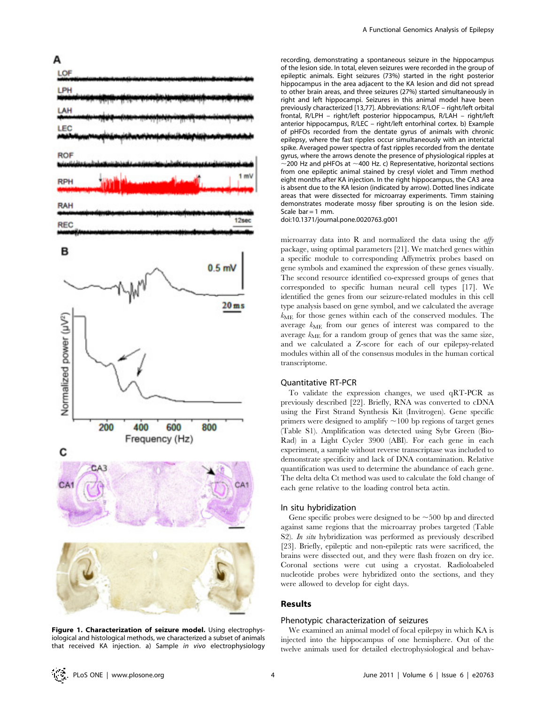

Figure 1. Characterization of seizure model. Using electrophysiological and histological methods, we characterized a subset of animals that received KA injection. a) Sample in vivo electrophysiology

recording, demonstrating a spontaneous seizure in the hippocampus of the lesion side. In total, eleven seizures were recorded in the group of epileptic animals. Eight seizures (73%) started in the right posterior hippocampus in the area adjacent to the KA lesion and did not spread to other brain areas, and three seizures (27%) started simultaneously in right and left hippocampi. Seizures in this animal model have been previously characterized [13,77]. Abbreviations: R/LOF – right/left orbital frontal, R/LPH – right/left posterior hippocampus, R/LAH – right/left anterior hippocampus, R/LEC – right/left entorhinal cortex. b) Example of pHFOs recorded from the dentate gyrus of animals with chronic epilepsy, where the fast ripples occur simultaneously with an interictal spike. Averaged power spectra of fast ripples recorded from the dentate gyrus, where the arrows denote the presence of physiological ripples at  $200$  Hz and pHFOs at  $\sim$ 400 Hz. c) Representative, horizontal sections from one epileptic animal stained by cresyl violet and Timm method eight months after KA injection. In the right hippocampus, the CA3 area is absent due to the KA lesion (indicated by arrow). Dotted lines indicate areas that were dissected for microarray experiments. Timm staining demonstrates moderate mossy fiber sprouting is on the lesion side. Scale  $bar = 1$  mm.

doi:10.1371/journal.pone.0020763.g001

microarray data into R and normalized the data using the  $affy$ package, using optimal parameters [21]. We matched genes within a specific module to corresponding Affymetrix probes based on gene symbols and examined the expression of these genes visually. The second resource identified co-expressed groups of genes that corresponded to specific human neural cell types [17]. We identified the genes from our seizure-related modules in this cell type analysis based on gene symbol, and we calculated the average  $k_{\text{ME}}$  for those genes within each of the conserved modules. The average  $k_{\text{ME}}$  from our genes of interest was compared to the average  $k_{\text{ME}}$  for a random group of genes that was the same size, and we calculated a Z-score for each of our epilepsy-related modules within all of the consensus modules in the human cortical transcriptome.

#### Quantitative RT-PCR

To validate the expression changes, we used qRT-PCR as previously described [22]. Briefly, RNA was converted to cDNA using the First Strand Synthesis Kit (Invitrogen). Gene specific primers were designed to amplify  $\sim$ 100 bp regions of target genes (Table S1). Amplification was detected using Sybr Green (Bio-Rad) in a Light Cycler 3900 (ABI). For each gene in each experiment, a sample without reverse transcriptase was included to demonstrate specificity and lack of DNA contamination. Relative quantification was used to determine the abundance of each gene. The delta delta Ct method was used to calculate the fold change of each gene relative to the loading control beta actin.

#### In situ hybridization

Gene specific probes were designed to be  $\sim$  500 bp and directed against same regions that the microarray probes targeted (Table S2). In situ hybridization was performed as previously described [23]. Briefly, epileptic and non-epileptic rats were sacrificed, the brains were dissected out, and they were flash frozen on dry ice. Coronal sections were cut using a cryostat. Radioloabeled nucleotide probes were hybridized onto the sections, and they were allowed to develop for eight days.

#### Results

#### Phenotypic characterization of seizures

We examined an animal model of focal epilepsy in which KA is injected into the hippocampus of one hemisphere. Out of the twelve animals used for detailed electrophysiological and behav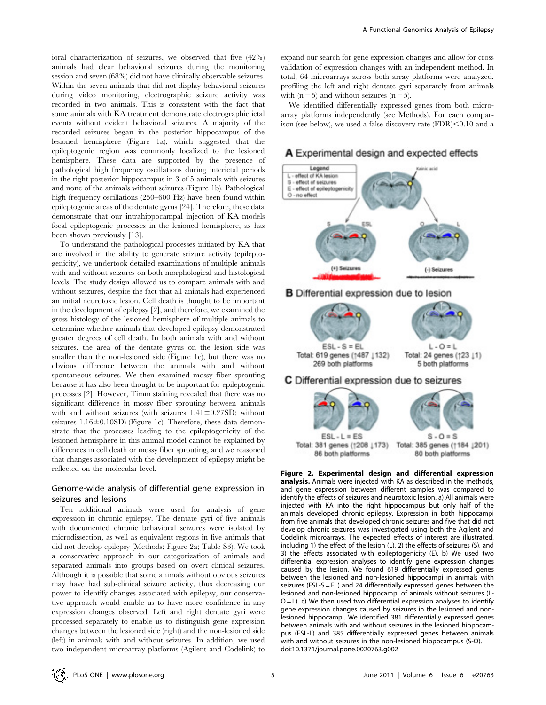ioral characterization of seizures, we observed that five (42%) animals had clear behavioral seizures during the monitoring session and seven (68%) did not have clinically observable seizures. Within the seven animals that did not display behavioral seizures during video monitoring, electrographic seizure activity was recorded in two animals. This is consistent with the fact that some animals with KA treatment demonstrate electrographic ictal events without evident behavioral seizures. A majority of the recorded seizures began in the posterior hippocampus of the lesioned hemisphere (Figure 1a), which suggested that the epileptogenic region was commonly localized to the lesioned hemisphere. These data are supported by the presence of pathological high frequency oscillations during interictal periods in the right posterior hippocampus in 3 of 5 animals with seizures and none of the animals without seizures (Figure 1b). Pathological high frequency oscillations (250–600 Hz) have been found within epileptogenic areas of the dentate gyrus [24]. Therefore, these data demonstrate that our intrahippocampal injection of KA models focal epileptogenic processes in the lesioned hemisphere, as has been shown previously [13].

To understand the pathological processes initiated by KA that are involved in the ability to generate seizure activity (epileptogenicity), we undertook detailed examinations of multiple animals with and without seizures on both morphological and histological levels. The study design allowed us to compare animals with and without seizures, despite the fact that all animals had experienced an initial neurotoxic lesion. Cell death is thought to be important in the development of epilepsy [2], and therefore, we examined the gross histology of the lesioned hemisphere of multiple animals to determine whether animals that developed epilepsy demonstrated greater degrees of cell death. In both animals with and without seizures, the area of the dentate gyrus on the lesion side was smaller than the non-lesioned side (Figure 1c), but there was no obvious difference between the animals with and without spontaneous seizures. We then examined mossy fiber sprouting because it has also been thought to be important for epileptogenic processes [2]. However, Timm staining revealed that there was no significant difference in mossy fiber sprouting between animals with and without seizures (with seizures  $1.41 \pm 0.27$ SD; without seizures  $1.16 \pm 0.10SD$ ) (Figure 1c). Therefore, these data demonstrate that the processes leading to the epileptogenicity of the lesioned hemisphere in this animal model cannot be explained by differences in cell death or mossy fiber sprouting, and we reasoned that changes associated with the development of epilepsy might be reflected on the molecular level.

## Genome-wide analysis of differential gene expression in seizures and lesions

Ten additional animals were used for analysis of gene expression in chronic epilepsy. The dentate gyri of five animals with documented chronic behavioral seizures were isolated by microdissection, as well as equivalent regions in five animals that did not develop epilepsy (Methods; Figure 2a; Table S3). We took a conservative approach in our categorization of animals and separated animals into groups based on overt clinical seizures. Although it is possible that some animals without obvious seizures may have had sub-clinical seizure activity, thus decreasing our power to identify changes associated with epilepsy, our conservative approach would enable us to have more confidence in any expression changes observed. Left and right dentate gyri were processed separately to enable us to distinguish gene expression changes between the lesioned side (right) and the non-lesioned side (left) in animals with and without seizures. In addition, we used two independent microarray platforms (Agilent and Codelink) to expand our search for gene expression changes and allow for cross validation of expression changes with an independent method. In total, 64 microarrays across both array platforms were analyzed, profiling the left and right dentate gyri separately from animals with  $(n = 5)$  and without seizures  $(n = 5)$ .

We identified differentially expressed genes from both microarray platforms independently (see Methods). For each comparison (see below), we used a false discovery rate  $(FDR) < 0.10$  and a

## A Experimental design and expected effects







Total: 381 genes (1208 1173) 86 both platforms

Total: 385 genes (†184 ¿201) 80 both platforms

Figure 2. Experimental design and differential expression analysis. Animals were injected with KA as described in the methods, and gene expression between different samples was compared to identify the effects of seizures and neurotoxic lesion. a) All animals were injected with KA into the right hippocampus but only half of the animals developed chronic epilepsy. Expression in both hippocampi from five animals that developed chronic seizures and five that did not develop chronic seizures was investigated using both the Agilent and Codelink microarrays. The expected effects of interest are illustrated, including 1) the effect of the lesion (L), 2) the effects of seizures (S), and 3) the effects associated with epileptogenicity (E). b) We used two differential expression analyses to identify gene expression changes caused by the lesion. We found 619 differentially expressed genes between the lesioned and non-lesioned hippocampi in animals with seizures (ESL-S = EL) and 24 differentially expressed genes between the lesioned and non-lesioned hippocampi of animals without seizures (L- $O = L$ ). c) We then used two differential expression analyses to identify gene expression changes caused by seizures in the lesioned and nonlesioned hippocampi. We identified 381 differentially expressed genes between animals with and without seizures in the lesioned hippocampus (ESL-L) and 385 differentially expressed genes between animals with and without seizures in the non-lesioned hippocampus (S-O). doi:10.1371/journal.pone.0020763.g002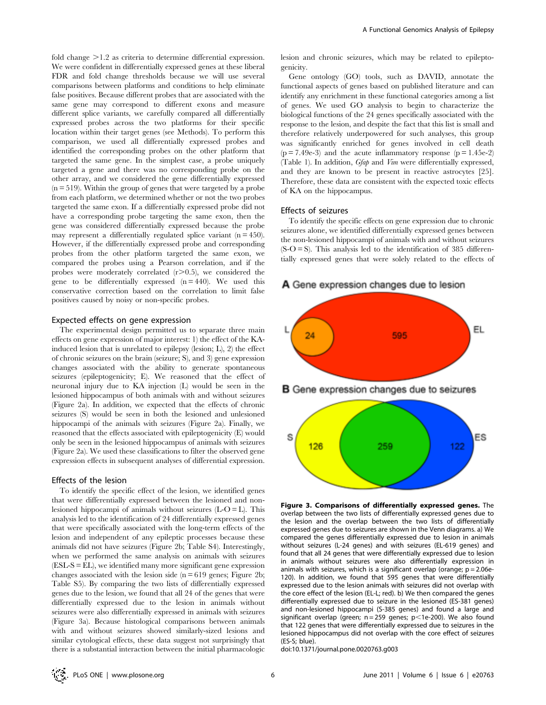fold change  $>1.2$  as criteria to determine differential expression. We were confident in differentially expressed genes at these liberal FDR and fold change thresholds because we will use several comparisons between platforms and conditions to help eliminate false positives. Because different probes that are associated with the same gene may correspond to different exons and measure different splice variants, we carefully compared all differentially expressed probes across the two platforms for their specific location within their target genes (see Methods). To perform this comparison, we used all differentially expressed probes and identified the corresponding probes on the other platform that targeted the same gene. In the simplest case, a probe uniquely targeted a gene and there was no corresponding probe on the other array, and we considered the gene differentially expressed  $(n = 519)$ . Within the group of genes that were targeted by a probe from each platform, we determined whether or not the two probes targeted the same exon. If a differentially expressed probe did not have a corresponding probe targeting the same exon, then the gene was considered differentially expressed because the probe may represent a differentially regulated splice variant  $(n = 450)$ . However, if the differentially expressed probe and corresponding probes from the other platform targeted the same exon, we compared the probes using a Pearson correlation, and if the probes were moderately correlated  $(r>0.5)$ , we considered the gene to be differentially expressed  $(n = 440)$ . We used this conservative correction based on the correlation to limit false positives caused by noisy or non-specific probes.

## Expected effects on gene expression

The experimental design permitted us to separate three main effects on gene expression of major interest: 1) the effect of the KAinduced lesion that is unrelated to epilepsy (lesion; L), 2) the effect of chronic seizures on the brain (seizure; S), and 3) gene expression changes associated with the ability to generate spontaneous seizures (epileptogenicity; E). We reasoned that the effect of neuronal injury due to KA injection (L) would be seen in the lesioned hippocampus of both animals with and without seizures (Figure 2a). In addition, we expected that the effects of chronic seizures (S) would be seen in both the lesioned and unlesioned hippocampi of the animals with seizures (Figure 2a). Finally, we reasoned that the effects associated with epileptogenicity (E) would only be seen in the lesioned hippocampus of animals with seizures (Figure 2a). We used these classifications to filter the observed gene expression effects in subsequent analyses of differential expression.

#### Effects of the lesion

To identify the specific effect of the lesion, we identified genes that were differentially expressed between the lesioned and nonlesioned hippocampi of animals without seizures  $(L-O = L)$ . This analysis led to the identification of 24 differentially expressed genes that were specifically associated with the long-term effects of the lesion and independent of any epileptic processes because these animals did not have seizures (Figure 2b; Table S4). Interestingly, when we performed the same analysis on animals with seizures  $(ESL-S = EL)$ , we identified many more significant gene expression changes associated with the lesion side  $(n = 619)$  genes; Figure 2b; Table S5). By comparing the two lists of differentially expressed genes due to the lesion, we found that all 24 of the genes that were differentially expressed due to the lesion in animals without seizures were also differentially expressed in animals with seizures (Figure 3a). Because histological comparisons between animals with and without seizures showed similarly-sized lesions and similar cytological effects, these data suggest not surprisingly that there is a substantial interaction between the initial pharmacologic

lesion and chronic seizures, which may be related to epileptogenicity.

Gene ontology (GO) tools, such as DAVID, annotate the functional aspects of genes based on published literature and can identify any enrichment in these functional categories among a list of genes. We used GO analysis to begin to characterize the biological functions of the 24 genes specifically associated with the response to the lesion, and despite the fact that this list is small and therefore relatively underpowered for such analyses, this group was significantly enriched for genes involved in cell death  $(p = 7.49e-3)$  and the acute inflammatory response  $(p = 1.45e-2)$ (Table 1). In addition, Gfap and Vim were differentially expressed, and they are known to be present in reactive astrocytes [25]. Therefore, these data are consistent with the expected toxic effects of KA on the hippocampus.

#### Effects of seizures

To identify the specific effects on gene expression due to chronic seizures alone, we identified differentially expressed genes between the non-lesioned hippocampi of animals with and without seizures  $(S-O = S)$ . This analysis led to the identification of 385 differentially expressed genes that were solely related to the effects of





Figure 3. Comparisons of differentially expressed genes. The overlap between the two lists of differentially expressed genes due to the lesion and the overlap between the two lists of differentially expressed genes due to seizures are shown in the Venn diagrams. a) We compared the genes differentially expressed due to lesion in animals without seizures (L-24 genes) and with seizures (EL-619 genes) and found that all 24 genes that were differentially expressed due to lesion in animals without seizures were also differentially expression in animals with seizures, which is a significant overlap (orange;  $p = 2.06e$ -120). In addition, we found that 595 genes that were differentially expressed due to the lesion animals with seizures did not overlap with the core effect of the lesion (EL-L; red). b) We then compared the genes differentially expressed due to seizure in the lesioned (ES-381 genes) and non-lesioned hippocampi (S-385 genes) and found a large and significant overlap (green;  $n = 259$  genes;  $p < 1e-200$ ). We also found that 122 genes that were differentially expressed due to seizures in the lesioned hippocampus did not overlap with the core effect of seizures (ES-S; blue).

doi:10.1371/journal.pone.0020763.g003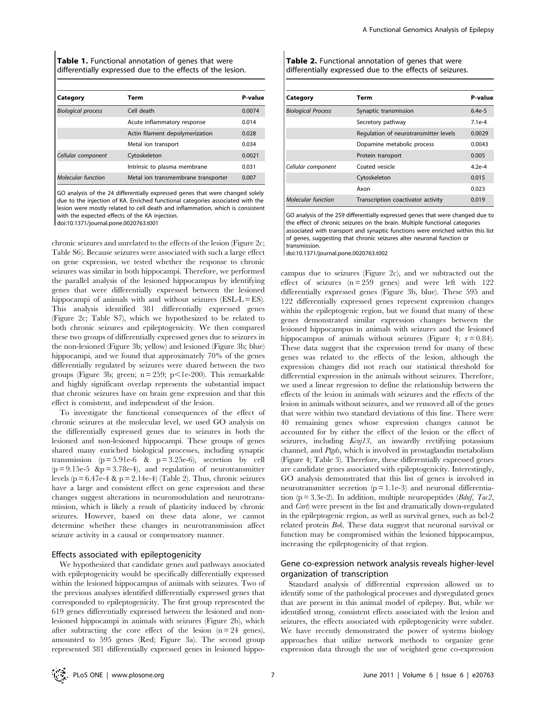Table 1. Functional annotation of genes that were differentially expressed due to the effects of the lesion.

| Category                  | Term                                | P-value |
|---------------------------|-------------------------------------|---------|
| <b>Biological process</b> | Cell death                          | 0.0074  |
|                           | Acute inflammatory response         | 0.014   |
|                           | Actin filament depolymerization     | 0.028   |
|                           | Metal ion transport                 | 0.034   |
| Cellular component        | Cytoskeleton                        | 0.0021  |
|                           | Intrinsic to plasma membrane        | 0.031   |
| <b>Molecular function</b> | Metal ion transmembrane transporter | 0.007   |

GO analysis of the 24 differentially expressed genes that were changed solely due to the injection of KA. Enriched functional categories associated with the lesion were mostly related to cell death and inflammation, which is consistent with the expected effects of the KA injection.

doi:10.1371/journal.pone.0020763.t001

chronic seizures and unrelated to the effects of the lesion (Figure 2c; Table S6). Because seizures were associated with such a large effect on gene expression, we tested whether the response to chronic seizures was similar in both hippocampi. Therefore, we performed the parallel analysis of the lesioned hippocampus by identifying genes that were differentially expressed between the lesioned hippocampi of animals with and without seizures  $(ESL-L = ES)$ . This analysis identified 381 differentially expressed genes (Figure 2c; Table S7), which we hypothesized to be related to both chronic seizures and epileptogenicity. We then compared these two groups of differentially expressed genes due to seizures in the non-lesioned (Figure 3b; yellow) and lesioned (Figure 3b; blue) hippocampi, and we found that approximately 70% of the genes differentially regulated by seizures were shared between the two groups (Figure 3b; green;  $n = 259$ ;  $p < 1e-200$ ). This remarkable and highly significant overlap represents the substantial impact that chronic seizures have on brain gene expression and that this effect is consistent, and independent of the lesion.

To investigate the functional consequences of the effect of chronic seizures at the molecular level, we used GO analysis on the differentially expressed genes due to seizures in both the lesioned and non-lesioned hippocampi. These groups of genes shared many enriched biological processes, including synaptic transmission ( $p = 5.91e-6$  &  $p = 3.25e-6$ ), secretion by cell  $(p = 9.15e-5 \& p = 3.78e-4)$ , and regulation of neurotransmitter levels ( $p = 6.47e-4$  &  $p = 2.14e-4$ ) (Table 2). Thus, chronic seizures have a large and consistent effect on gene expression and these changes suggest alterations in neuromodulation and neurotransmission, which is likely a result of plasticity induced by chronic seizures. However, based on these data alone, we cannot determine whether these changes in neurotransmission affect seizure activity in a causal or compensatory manner.

#### Effects associated with epileptogenicity

We hypothesized that candidate genes and pathways associated with epileptogenicity would be specifically differentially expressed within the lesioned hippocampus of animals with seizures. Two of the previous analyses identified differentially expressed genes that corresponded to epileptogenicity. The first group represented the 619 genes differentially expressed between the lesioned and nonlesioned hippocampi in animals with seizures (Figure 2b), which after subtracting the core effect of the lesion  $(n = 24$  genes), amounted to 595 genes (Red; Figure 3a). The second group represented 381 differentially expressed genes in lesioned hippoTable 2. Functional annotation of genes that were differentially expressed due to the effects of seizures.

| Category                  | Term                                  | P-value  |
|---------------------------|---------------------------------------|----------|
| <b>Biological Process</b> | Synaptic transmission                 | $6.4e-5$ |
|                           | Secretory pathway                     | $7.1e-4$ |
|                           | Regulation of neurotransmitter levels | 0.0029   |
|                           | Dopamine metabolic process            | 0.0043   |
|                           | Protein transport                     | 0.005    |
| Cellular component        | Coated vesicle                        | $4.2e-4$ |
|                           | Cytoskeleton                          | 0.015    |
|                           | Axon                                  | 0.023    |
| Molecular function        | Transcription coactivator activity    | 0.019    |

GO analysis of the 259 differentially expressed genes that were changed due to the effect of chronic seizures on the brain. Multiple functional categories associated with transport and synaptic functions were enriched within this list of genes, suggesting that chronic seizures alter neuronal function or transmission.

doi:10.1371/journal.pone.0020763.t002

campus due to seizures (Figure 2c), and we subtracted out the effect of seizures  $(n = 259$  genes) and were left with  $122$ differentially expressed genes (Figure 3b, blue). These 595 and 122 differentially expressed genes represent expression changes within the epileptogenic region, but we found that many of these genes demonstrated similar expression changes between the lesioned hippocampus in animals with seizures and the lesioned hippocampus of animals without seizures (Figure 4;  $r = 0.84$ ). These data suggest that the expression trend for many of these genes was related to the effects of the lesion, although the expression changes did not reach our statistical threshold for differential expression in the animals without seizures. Therefore, we used a linear regression to define the relationship between the effects of the lesion in animals with seizures and the effects of the lesion in animals without seizures, and we removed all of the genes that were within two standard deviations of this line. There were 40 remaining genes whose expression changes cannot be accounted for by either the effect of the lesion or the effect of seizures, including  $Kcnj13$ , an inwardly rectifying potassium channel, and Ptgds, which is involved in prostaglandin metabolism (Figure 4; Table 3). Therefore, these differentially expressed genes are candidate genes associated with epileptogenicity. Interestingly, GO analysis demonstrated that this list of genes is involved in neurotransmitter secretion  $(p = 1.1e-3)$  and neuronal differentiation ( $p = 3.3e-2$ ). In addition, multiple neuropeptides (*Bdnf*, *Tac2*, and Cart) were present in the list and dramatically down-regulated in the epileptogenic region, as well as survival genes, such as bcl-2 related protein Bok. These data suggest that neuronal survival or function may be compromised within the lesioned hippocampus, increasing the epileptogenicity of that region.

## Gene co-expression network analysis reveals higher-level organization of transcription

Standard analysis of differential expression allowed us to identify some of the pathological processes and dysregulated genes that are present in this animal model of epilepsy. But, while we identified strong, consistent effects associated with the lesion and seizures, the effects associated with epileptogenicity were subtler. We have recently demonstrated the power of systems biology approaches that utilize network methods to organize gene expression data through the use of weighted gene co-expression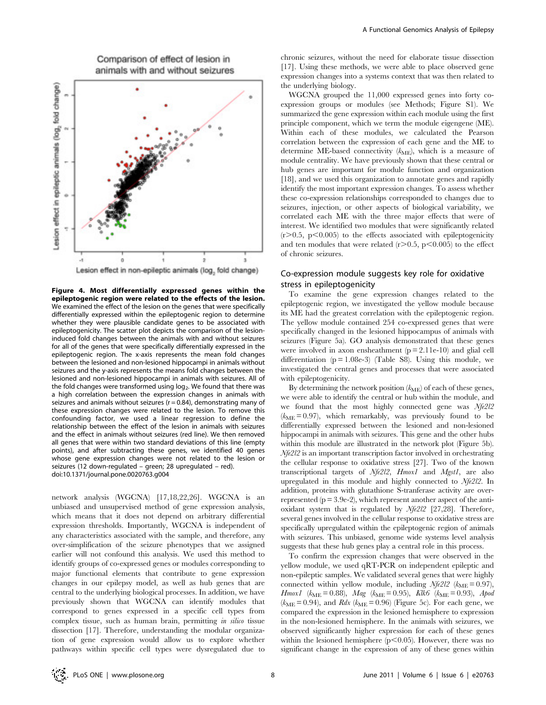

Comparison of effect of lesion in

Figure 4. Most differentially expressed genes within the epileptogenic region were related to the effects of the lesion. We examined the effect of the lesion on the genes that were specifically differentially expressed within the epileptogenic region to determine whether they were plausible candidate genes to be associated with epileptogenicity. The scatter plot depicts the comparison of the lesioninduced fold changes between the animals with and without seizures for all of the genes that were specifically differentially expressed in the epileptogenic region. The x-axis represents the mean fold changes between the lesioned and non-lesioned hippocampi in animals without seizures and the y-axis represents the means fold changes between the lesioned and non-lesioned hippocampi in animals with seizures. All of the fold changes were transformed using  $log<sub>2</sub>$ . We found that there was a high correlation between the expression changes in animals with seizures and animals without seizures ( $r = 0.84$ ), demonstrating many of these expression changes were related to the lesion. To remove this confounding factor, we used a linear regression to define the relationship between the effect of the lesion in animals with seizures and the effect in animals without seizures (red line). We then removed all genes that were within two standard deviations of this line (empty points), and after subtracting these genes, we identified 40 genes whose gene expression changes were not related to the lesion or seizures (12 down-regulated – green; 28 upregulated – red). doi:10.1371/journal.pone.0020763.g004

network analysis (WGCNA) [17,18,22,26]. WGCNA is an unbiased and unsupervised method of gene expression analysis, which means that it does not depend on arbitrary differential expression thresholds. Importantly, WGCNA is independent of any characteristics associated with the sample, and therefore, any over-simplification of the seizure phenotypes that we assigned earlier will not confound this analysis. We used this method to identify groups of co-expressed genes or modules corresponding to major functional elements that contribute to gene expression changes in our epilepsy model, as well as hub genes that are central to the underlying biological processes. In addition, we have previously shown that WGCNA can identify modules that correspond to genes expressed in a specific cell types from complex tissue, such as human brain, permitting in silico tissue dissection [17]. Therefore, understanding the modular organization of gene expression would allow us to explore whether pathways within specific cell types were dysregulated due to chronic seizures, without the need for elaborate tissue dissection [17]. Using these methods, we were able to place observed gene expression changes into a systems context that was then related to the underlying biology.

WGCNA grouped the 11,000 expressed genes into forty coexpression groups or modules (see Methods; Figure S1). We summarized the gene expression within each module using the first principle component, which we term the module eigengene (ME). Within each of these modules, we calculated the Pearson correlation between the expression of each gene and the ME to determine ME-based connectivity  $(k_{\text{ME}})$ , which is a measure of module centrality. We have previously shown that these central or hub genes are important for module function and organization [18], and we used this organization to annotate genes and rapidly identify the most important expression changes. To assess whether these co-expression relationships corresponded to changes due to seizures, injection, or other aspects of biological variability, we correlated each ME with the three major effects that were of interest. We identified two modules that were significantly related  $(r>0.5, p<0.005)$  to the effects associated with epileptogenicity and ten modules that were related  $(r>0.5, p<0.005)$  to the effect of chronic seizures.

## Co-expression module suggests key role for oxidative stress in epileptogenicity

To examine the gene expression changes related to the epileptogenic region, we investigated the yellow module because its ME had the greatest correlation with the epileptogenic region. The yellow module contained 254 co-expressed genes that were specifically changed in the lesioned hippocampus of animals with seizures (Figure 5a). GO analysis demonstrated that these genes were involved in axon ensheathment  $(p = 2.11e-10)$  and glial cell differentiation  $(p = 1.08e-3)$  (Table S8). Using this module, we investigated the central genes and processes that were associated with epileptogenicity.

By determining the network position  $(k_{ME})$  of each of these genes, we were able to identify the central or hub within the module, and we found that the most highly connected gene was Nfe2l2  $(k<sub>ME</sub> = 0.97)$ , which remarkably, was previously found to be differentially expressed between the lesioned and non-lesioned hippocampi in animals with seizures. This gene and the other hubs within this module are illustrated in the network plot (Figure 5b). Nfe2l2 is an important transcription factor involved in orchestrating the cellular response to oxidative stress [27]. Two of the known transcriptional targets of Nfe2l2, Hmox1 and Mgst1, are also upregulated in this module and highly connected to Nfe2l2. In addition, proteins with glutathione S-tranferase activity are overrepresented  $(p = 3.9e-2)$ , which represent another aspect of the antioxidant system that is regulated by Nfe2l2 [27,28]. Therefore, several genes involved in the cellular response to oxidative stress are specifically upregulated within the epileptogenic region of animals with seizures. This unbiased, genome wide systems level analysis suggests that these hub genes play a central role in this process.

To confirm the expression changes that were observed in the yellow module, we used qRT-PCR on independent epileptic and non-epileptic samples. We validated several genes that were highly connected within yellow module, including  $Nf\epsilon 2l2$  ( $k_{\text{ME}} = 0.97$ ),  $H$ mox1 (k<sub>ME</sub> = 0.88), Mag (k<sub>ME</sub> = 0.95), Klk6 (k<sub>ME</sub> = 0.93), Apod  $(k_{\text{ME}} = 0.94)$ , and  $Rdx$  ( $k_{\text{ME}} = 0.96$ ) (Figure 5c). For each gene, we compared the expression in the lesioned hemisphere to expression in the non-lesioned hemisphere. In the animals with seizures, we observed significantly higher expression for each of these genes within the lesioned hemisphere  $(p<0.05)$ . However, there was no significant change in the expression of any of these genes within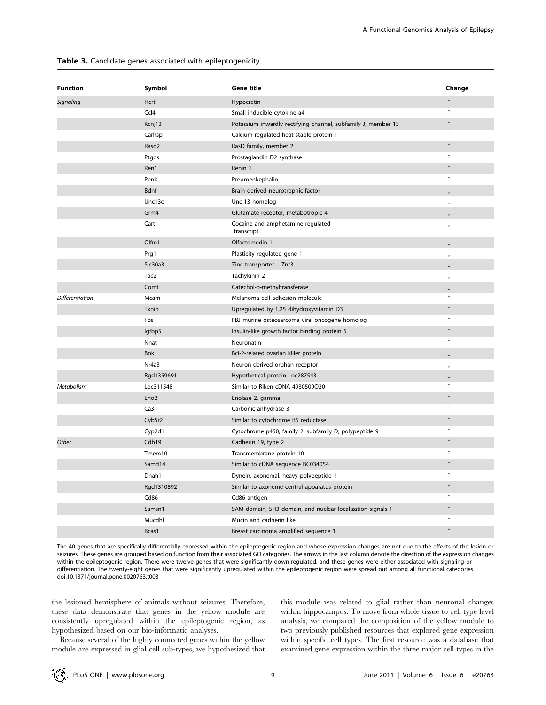Table 3. Candidate genes associated with epileptogenicity.

| <b>Function</b>        | Symbol            | <b>Gene title</b>                                             | Change       |
|------------------------|-------------------|---------------------------------------------------------------|--------------|
| Signaling              | Hcrt              | Hypocretin                                                    | $\uparrow$   |
|                        | Ccl <sub>4</sub>  | Small inducible cytokine a4                                   | ↑            |
|                        | Kcnj13            | Potassium inwardly rectifying channel, subfamily J, member 13 | ↑            |
|                        | Carhsp1           | Calcium regulated heat stable protein 1                       | ↑            |
|                        | Rasd <sub>2</sub> | RasD family, member 2                                         |              |
|                        | Ptgds             | Prostaglandin D2 synthase                                     | ↑            |
|                        | Ren1              | Renin 1                                                       |              |
|                        | Penk              | Preproenkephalin                                              | ↑            |
|                        | <b>Bdnf</b>       | Brain derived neurotrophic factor                             |              |
|                        | Unc13c            | Unc-13 homolog                                                |              |
|                        | Grm4              | Glutamate receptor, metabotropic 4                            | J            |
|                        | Cart              | Cocaine and amphetamine regulated<br>transcript               | T            |
|                        | Olfm1             | Olfactomedin 1                                                |              |
|                        | Prg1              | Plasticity regulated gene 1                                   | $\downarrow$ |
|                        | Slc30a3           | Zinc transporter - Znt3                                       |              |
|                        | Tac <sub>2</sub>  | Tachykinin 2                                                  |              |
|                        | Comt              | Catechol-o-methyltransferase                                  |              |
| <b>Differentiation</b> | Mcam              | Melanoma cell adhesion molecule                               |              |
|                        | Txnip             | Upregulated by 1,25 dihydroxyvitamin D3                       |              |
|                        | Fos               | FBJ murine osteosarcoma viral oncogene homolog                | ↑            |
|                        | lgfbp5            | Insulin-like growth factor binding protein 5                  |              |
|                        | Nnat              | Neuronatin                                                    | ↑            |
|                        | <b>Bok</b>        | Bcl-2-related ovarian killer protein                          |              |
|                        | Nr4a3             | Neuron-derived orphan receptor                                |              |
|                        | Rgd1359691        | Hypothetical protein Loc287543                                |              |
| Metabolism             | Loc311548         | Similar to Riken cDNA 4930509O20                              | ↑            |
|                        | Eno <sub>2</sub>  | Enolase 2, gamma                                              |              |
|                        | Ca3               | Carbonic anhydrase 3                                          |              |
|                        | Cyb5r2            | Similar to cytochrome B5 reductase                            |              |
|                        | Cyp2d1            | Cytochrome p450, family 2, subfamily D, polypeptide 9         | ↑            |
| Other                  | Cdh19             | Cadherin 19, type 2                                           |              |
|                        | Tmem10            | Transmembrane protein 10                                      | ↑            |
|                        | Samd14            | Similar to cDNA sequence BC034054                             |              |
|                        | Dnah1             | Dynein, axonemal, heavy polypeptide 1                         |              |
|                        | Rgd1310892        | Similar to axoneme central apparatus protein                  |              |
|                        | Cd86              | Cd86 antigen                                                  | ↑            |
|                        | Samsn1            | SAM domain, SH3 domain, and nuclear localization signals 1    |              |
|                        | Mucdhl            | Mucin and cadherin like                                       |              |
|                        | Bcas1             | Breast carcinoma amplified sequence 1                         | $\uparrow$   |

The 40 genes that are specifically differentially expressed within the epileptogenic region and whose expression changes are not due to the effects of the lesion or seizures. These genes are grouped based on function from their associated GO categories. The arrows in the last column denote the direction of the expression changes within the epileptogenic region. There were twelve genes that were significantly down-regulated, and these genes were either associated with signaling or differentiation. The twenty-eight genes that were significantly upregulated within the epileptogenic region were spread out among all functional categories. doi:10.1371/journal.pone.0020763.t003

the lesioned hemisphere of animals without seizures. Therefore, these data demonstrate that genes in the yellow module are consistently upregulated within the epileptogenic region, as hypothesized based on our bio-informatic analyses.

Because several of the highly connected genes within the yellow module are expressed in glial cell sub-types, we hypothesized that this module was related to glial rather than neuronal changes within hippocampus. To move from whole tissue to cell type level analysis, we compared the composition of the yellow module to two previously published resources that explored gene expression within specific cell types. The first resource was a database that examined gene expression within the three major cell types in the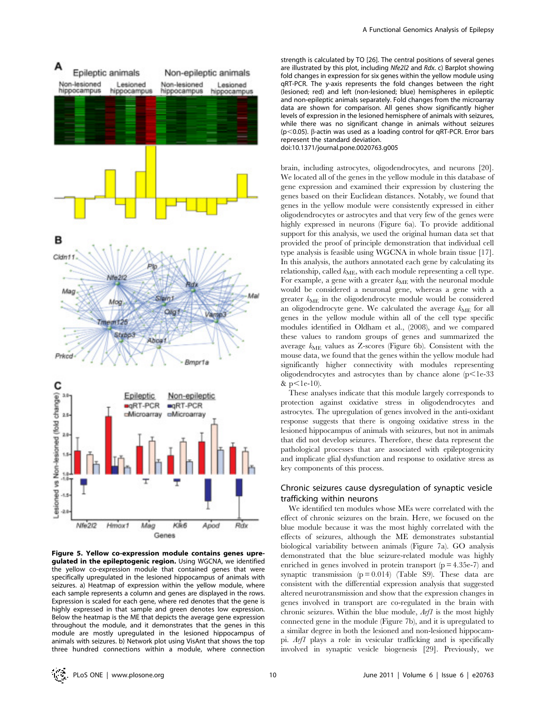

Figure 5. Yellow co-expression module contains genes upregulated in the epileptogenic region. Using WGCNA, we identified the yellow co-expression module that contained genes that were specifically upregulated in the lesioned hippocampus of animals with seizures. a) Heatmap of expression within the yellow module, where each sample represents a column and genes are displayed in the rows. Expression is scaled for each gene, where red denotes that the gene is highly expressed in that sample and green denotes low expression. Below the heatmap is the ME that depicts the average gene expression throughout the module, and it demonstrates that the genes in this module are mostly upregulated in the lesioned hippocampus of animals with seizures. b) Network plot using VisAnt that shows the top three hundred connections within a module, where connection

strength is calculated by TO [26]. The central positions of several genes are illustrated by this plot, including Nfe2l2 and Rdx. c) Barplot showing fold changes in expression for six genes within the yellow module using qRT-PCR. The y-axis represents the fold changes between the right (lesioned; red) and left (non-lesioned; blue) hemispheres in epileptic and non-epileptic animals separately. Fold changes from the microarray data are shown for comparison. All genes show significantly higher levels of expression in the lesioned hemisphere of animals with seizures, while there was no significant change in animals without seizures ( $p$ <0.05).  $\beta$ -actin was used as a loading control for qRT-PCR. Error bars represent the standard deviation. doi:10.1371/journal.pone.0020763.g005

brain, including astrocytes, oligodendrocytes, and neurons [20]. We located all of the genes in the yellow module in this database of gene expression and examined their expression by clustering the genes based on their Euclidean distances. Notably, we found that genes in the yellow module were consistently expressed in either oligodendrocytes or astrocytes and that very few of the genes were highly expressed in neurons (Figure 6a). To provide additional support for this analysis, we used the original human data set that provided the proof of principle demonstration that individual cell type analysis is feasible using WGCNA in whole brain tissue [17]. In this analysis, the authors annotated each gene by calculating its relationship, called  $k_{\text{ME}}$ , with each module representing a cell type. For example, a gene with a greater  $k_{\text{ME}}$  with the neuronal module would be considered a neuronal gene, whereas a gene with a greater  $k_{\text{ME}}$  in the oligodendrocyte module would be considered an oligodendrocyte gene. We calculated the average  $k_{\text{ME}}$  for all genes in the yellow module within all of the cell type specific modules identified in Oldham et al., (2008), and we compared these values to random groups of genes and summarized the average  $k_{\text{ME}}$  values as Z-scores (Figure 6b). Consistent with the mouse data, we found that the genes within the yellow module had significantly higher connectivity with modules representing oligodendrocytes and astrocytes than by chance alone  $(p<1e-33$  $\&p<1e-10$ ).

These analyses indicate that this module largely corresponds to protection against oxidative stress in oligodendrocytes and astrocytes. The upregulation of genes involved in the anti-oxidant response suggests that there is ongoing oxidative stress in the lesioned hippocampus of animals with seizures, but not in animals that did not develop seizures. Therefore, these data represent the pathological processes that are associated with epileptogenicity and implicate glial dysfunction and response to oxidative stress as key components of this process.

## Chronic seizures cause dysregulation of synaptic vesicle trafficking within neurons

We identified ten modules whose MEs were correlated with the effect of chronic seizures on the brain. Here, we focused on the blue module because it was the most highly correlated with the effects of seizures, although the ME demonstrates substantial biological variability between animals (Figure 7a). GO analysis demonstrated that the blue seizure-related module was highly enriched in genes involved in protein transport  $(p = 4.35e-7)$  and synaptic transmission  $(p = 0.014)$  (Table S9). These data are consistent with the differential expression analysis that suggested altered neurotransmission and show that the expression changes in genes involved in transport are co-regulated in the brain with chronic seizures. Within the blue module, Arf1 is the most highly connected gene in the module (Figure 7b), and it is upregulated to a similar degree in both the lesioned and non-lesioned hippocampi. Arf1 plays a role in vesicular trafficking and is specifically involved in synaptic vesicle biogenesis [29]. Previously, we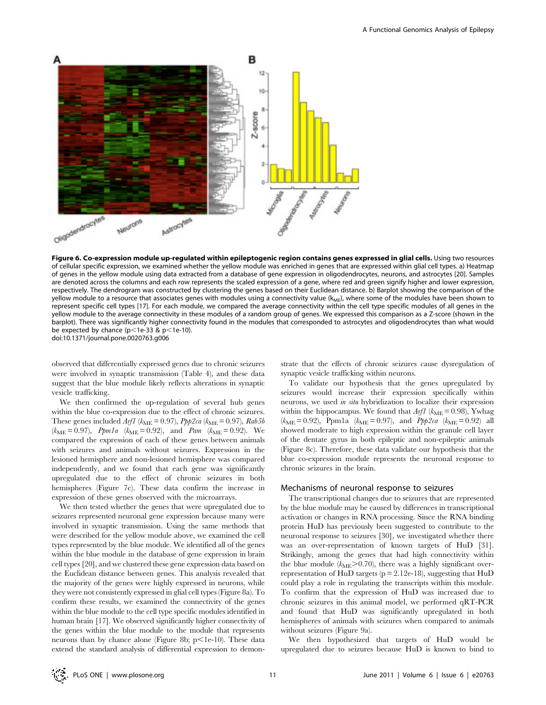

Figure 6. Co-expression module up-regulated within epileptogenic region contains genes expressed in glial cells. Using two resources of cellular specific expression, we examined whether the yellow module was enriched in genes that are expressed within glial cell types. a) Heatmap of genes in the yellow module using data extracted from a database of gene expression in oligodendrocytes, neurons, and astrocytes [20]. Samples are denoted across the columns and each row represents the scaled expression of a gene, where red and green signify higher and lower expression, respectively. The dendrogram was constructed by clustering the genes based on their Euclidean distance. b) Barplot showing the comparison of the yellow module to a resource that associates genes with modules using a connectivity value ( $k_{MF}$ ), where some of the modules have been shown to represent specific cell types [17]. For each module, we compared the average connectivity within the cell type specific modules of all genes in the yellow module to the average connectivity in these modules of a random group of genes. We expressed this comparison as a Z-score (shown in the barplot). There was significantly higher connectivity found in the modules that corresponded to astrocytes and oligodendrocytes than what would be expected by chance ( $p$ <1e-33 &  $p$ <1e-10). doi:10.1371/journal.pone.0020763.g006

observed that differentially expressed genes due to chronic seizures were involved in synaptic transmission (Table 4), and these data suggest that the blue module likely reflects alterations in synaptic vesicle trafficking.

We then confirmed the up-regulation of several hub genes within the blue co-expression due to the effect of chronic seizures. These genes included  $Arfl$  ( $k_{ME} = 0.97$ ),  $Ppp2ca$  ( $k_{ME} = 0.97$ ),  $Rab5b$  $(k_{\text{ME}} = 0.97)$ , *Ppm1a*  $(k_{\text{ME}} = 0.92)$ , and *Pam*  $(k_{\text{ME}} = 0.92)$ . We compared the expression of each of these genes between animals with seizures and animals without seizures. Expression in the lesioned hemisphere and non-lesioned hemisphere was compared independently, and we found that each gene was significantly upregulated due to the effect of chronic seizures in both hemispheres (Figure 7c). These data confirm the increase in expression of these genes observed with the microarrays.

We then tested whether the genes that were upregulated due to seizures represented neuronal gene expression because many were involved in synaptic transmission. Using the same methods that were described for the yellow module above, we examined the cell types represented by the blue module. We identified all of the genes within the blue module in the database of gene expression in brain cell types [20], and we clustered these gene expression data based on the Euclidean distance between genes. This analysis revealed that the majority of the genes were highly expressed in neurons, while they were not consistently expressed in glial cell types (Figure 8a). To confirm these results, we examined the connectivity of the genes within the blue module to the cell type specific modules identified in human brain [17]. We observed significantly higher connectivity of the genes within the blue module to the module that represents neurons than by chance alone (Figure 8b;  $p<1e-10$ ). These data extend the standard analysis of differential expression to demon-

strate that the effects of chronic seizures cause dysregulation of synaptic vesicle trafficking within neurons.

To validate our hypothesis that the genes upregulated by seizures would increase their expression specifically within neurons, we used in situ hybridization to localize their expression within the hippocampus. We found that  $A_{\text{f}}/I$  ( $k_{\text{ME}} = 0.98$ ), Ywhag  $(k_{ME} = 0.92)$ , Ppm1a  $(k_{ME} = 0.97)$ , and Ppp2ca  $(k_{ME} = 0.92)$  all showed moderate to high expression within the granule cell layer of the dentate gyrus in both epileptic and non-epileptic animals (Figure 8c). Therefore, these data validate our hypothesis that the blue co-expression module represents the neuronal response to chronic seizures in the brain.

#### Mechanisms of neuronal response to seizures

The transcriptional changes due to seizures that are represented by the blue module may be caused by differences in transcriptional activation or changes in RNA processing. Since the RNA binding protein HuD has previously been suggested to contribute to the neuronal response to seizures [30], we investigated whether there was an over-representation of known targets of HuD [31]. Strikingly, among the genes that had high connectivity within the blue module  $(k_{\text{ME}} > 0.70)$ , there was a highly significant overrepresentation of HuD targets ( $p = 2.12e-18$ ), suggesting that HuD could play a role in regulating the transcripts within this module. To confirm that the expression of HuD was increased due to chronic seizures in this animal model, we performed qRT-PCR and found that HuD was significantly upregulated in both hemispheres of animals with seizures when compared to animals without seizures (Figure 9a).

We then hypothesized that targets of HuD would be upregulated due to seizures because HuD is known to bind to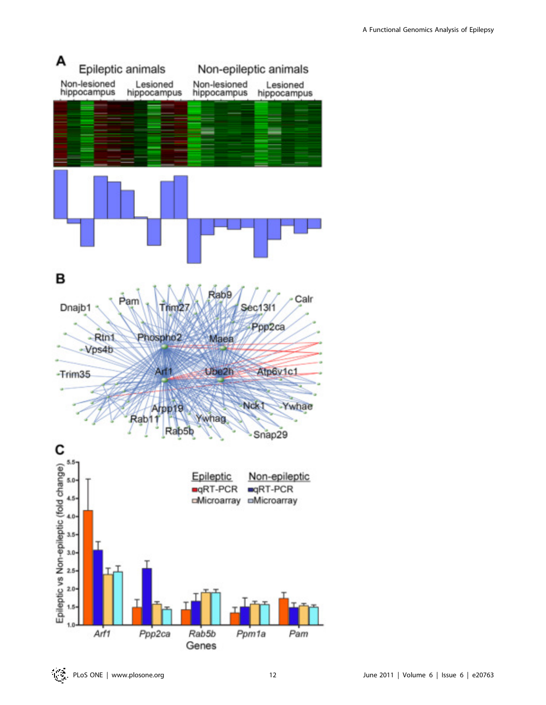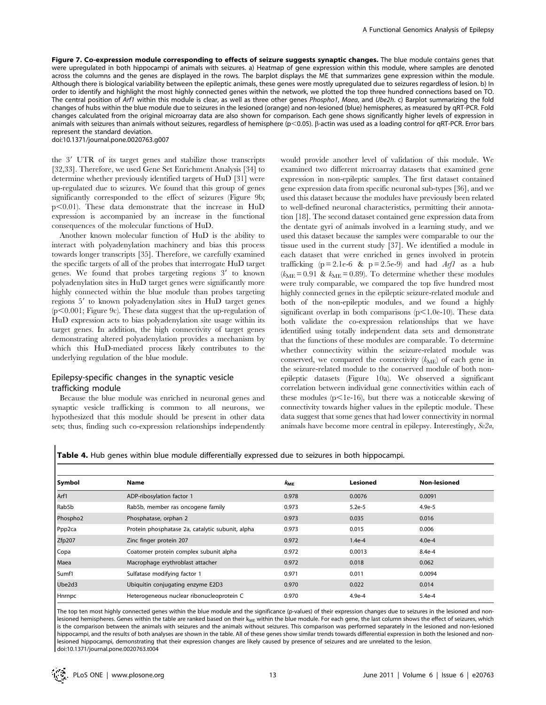Figure 7. Co-expression module corresponding to effects of seizure suggests synaptic changes. The blue module contains genes that were upregulated in both hippocampi of animals with seizures. a) Heatmap of gene expression within this module, where samples are denoted across the columns and the genes are displayed in the rows. The barplot displays the ME that summarizes gene expression within the module. Although there is biological variability between the epileptic animals, these genes were mostly upregulated due to seizures regardless of lesion. b) In order to identify and highlight the most highly connected genes within the network, we plotted the top three hundred connections based on TO. The central position of Arf1 within this module is clear, as well as three other genes Phospho1, Maea, and Ube2h. c) Barplot summarizing the fold changes of hubs within the blue module due to seizures in the lesioned (orange) and non-lesioned (blue) hemispheres, as measured by qRT-PCR. Fold changes calculated from the original microarray data are also shown for comparison. Each gene shows significantly higher levels of expression in animals with seizures than animals without seizures, regardless of hemisphere (p<0.05).  $\beta$ -actin was used as a loading control for qRT-PCR. Error bars represent the standard deviation.

doi:10.1371/journal.pone.0020763.g007

the 3' UTR of its target genes and stabilize those transcripts [32,33]. Therefore, we used Gene Set Enrichment Analysis [34] to determine whether previously identified targets of HuD [31] were up-regulated due to seizures. We found that this group of genes significantly corresponded to the effect of seizures (Figure 9b;  $p<0.01$ ). These data demonstrate that the increase in HuD expression is accompanied by an increase in the functional consequences of the molecular functions of HuD.

Another known molecular function of HuD is the ability to interact with polyadenylation machinery and bias this process towards longer transcripts [35]. Therefore, we carefully examined the specific targets of all of the probes that interrogate HuD target genes. We found that probes targeting regions  $3'$  to known polyadenylation sites in HuD target genes were significantly more highly connected within the blue module than probes targeting regions 5' to known polyadenylation sites in HuD target genes  $(p<0.001;$  Figure 9c). These data suggest that the up-regulation of HuD expression acts to bias polyadenylation site usage within its target genes. In addition, the high connectivity of target genes demonstrating altered polyadenylation provides a mechanism by which this HuD-mediated process likely contributes to the underlying regulation of the blue module.

## Epilepsy-specific changes in the synaptic vesicle trafficking module

Because the blue module was enriched in neuronal genes and synaptic vesicle trafficking is common to all neurons, we hypothesized that this module should be present in other data sets; thus, finding such co-expression relationships independently

would provide another level of validation of this module. We examined two different microarray datasets that examined gene expression in non-epileptic samples. The first dataset contained gene expression data from specific neuronal sub-types [36], and we used this dataset because the modules have previously been related to well-defined neuronal characteristics, permitting their annotation [18]. The second dataset contained gene expression data from the dentate gyri of animals involved in a learning study, and we used this dataset because the samples were comparable to our the tissue used in the current study [37]. We identified a module in each dataset that were enriched in genes involved in protein trafficking ( $p = 2.1e-6$  &  $p = 2.5e-9$ ) and had  $Arfl$  as a hub  $(k_{ME} = 0.91 \& k_{ME} = 0.89)$ . To determine whether these modules were truly comparable, we compared the top five hundred most highly connected genes in the epileptic seizure-related module and both of the non-epileptic modules, and we found a highly significant overlap in both comparisons  $(p<1.0e-10)$ . These data both validate the co-expression relationships that we have identified using totally independent data sets and demonstrate that the functions of these modules are comparable. To determine whether connectivity within the seizure-related module was conserved, we compared the connectivity  $(k_{ME})$  of each gene in the seizure-related module to the conserved module of both nonepileptic datasets (Figure 10a). We observed a significant correlation between individual gene connectivities within each of these modules  $(p<1e-16)$ , but there was a noticeable skewing of connectivity towards higher values in the epileptic module. These data suggest that some genes that had lower connectivity in normal animals have become more central in epilepsy. Interestingly, Sv2a,

Table 4. Hub genes within blue module differentially expressed due to seizures in both hippocampi.

| <b>Symbol</b>        | <b>Name</b>                                      | $k_{\text{ME}}$ | <b>Lesioned</b> | <b>Non-lesioned</b> |
|----------------------|--------------------------------------------------|-----------------|-----------------|---------------------|
| Arf1                 | ADP-ribosylation factor 1                        | 0.978           | 0.0076          | 0.0091              |
| Rab5b                | Rab5b, member ras oncogene family                | 0.973           | $5.2e-5$        | $4.9e-5$            |
| Phospho <sub>2</sub> | Phosphatase, orphan 2                            | 0.973           | 0.035           | 0.016               |
| Ppp <sub>2ca</sub>   | Protein phosphatase 2a, catalytic subunit, alpha | 0.973           | 0.015           | 0.006               |
| Zfp207               | Zinc finger protein 207                          | 0.972           | $1.4e-4$        | $4.0e-4$            |
| Copa                 | Coatomer protein complex subunit alpha           | 0.972           | 0.0013          | 8.4e-4              |
| Maea                 | Macrophage erythroblast attacher                 | 0.972           | 0.018           | 0.062               |
| Sumf1                | Sulfatase modifying factor 1                     | 0.971           | 0.011           | 0.0094              |
| Ube2d3               | Ubiquitin conjugating enzyme E2D3                | 0.970           | 0.022           | 0.014               |
| Hnrnpc               | Heterogeneous nuclear ribonucleoprotein C        | 0.970           | $4.9e-4$        | $5.4e-4$            |

The top ten most highly connected genes within the blue module and the significance (p-values) of their expression changes due to seizures in the lesioned and nonlesioned hemispheres. Genes within the table are ranked based on their k<sub>ME</sub> within the blue module. For each gene, the last column shows the effect of seizures, which is the comparison between the animals with seizures and the animals without seizures. This comparison was performed separately in the lesioned and non-lesioned hippocampi, and the results of both analyses are shown in the table. All of these genes show similar trends towards differential expression in both the lesioned and nonlesioned hippocampi, demonstrating that their expression changes are likely caused by presence of seizures and are unrelated to the lesion. doi:10.1371/journal.pone.0020763.t004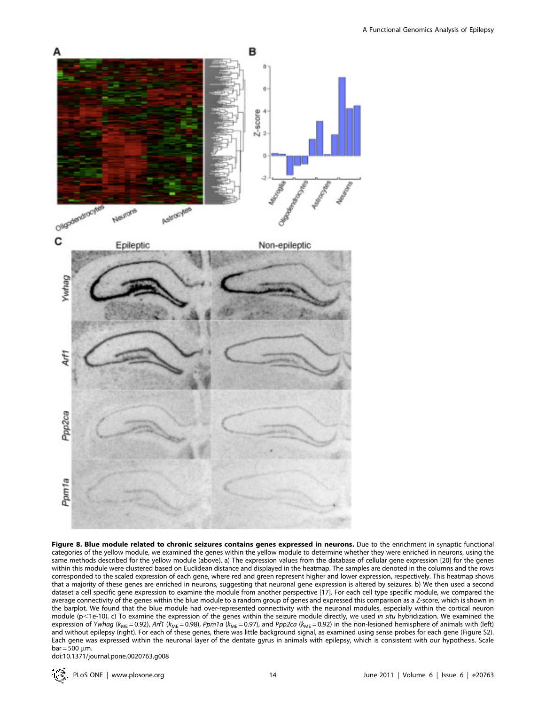

Figure 8. Blue module related to chronic seizures contains genes expressed in neurons. Due to the enrichment in synaptic functional categories of the yellow module, we examined the genes within the yellow module to determine whether they were enriched in neurons, using the same methods described for the yellow module (above). a) The expression values from the database of cellular gene expression [20] for the genes within this module were clustered based on Euclidean distance and displayed in the heatmap. The samples are denoted in the columns and the rows corresponded to the scaled expression of each gene, where red and green represent higher and lower expression, respectively. This heatmap shows that a majority of these genes are enriched in neurons, suggesting that neuronal gene expression is altered by seizures. b) We then used a second dataset a cell specific gene expression to examine the module from another perspective [17]. For each cell type specific module, we compared the average connectivity of the genes within the blue module to a random group of genes and expressed this comparison as a Z-score, which is shown in the barplot. We found that the blue module had over-represented connectivity with the neuronal modules, especially within the cortical neuron module (p<1e-10). c) To examine the expression of the genes within the seizure module directly, we used in situ hybridization. We examined the expression of Ywhag ( $k_{\text{ME}}$  = 0.92), Arf1 ( $k_{\text{ME}}$  = 0.98), Ppm1a ( $k_{\text{ME}}$  = 0.97), and Ppp2ca ( $k_{\text{ME}}$  = 0.92) in the non-lesioned hemisphere of animals with (left) and without epilepsy (right). For each of these genes, there was little background signal, as examined using sense probes for each gene (Figure S2). Each gene was expressed within the neuronal layer of the dentate gyrus in animals with epilepsy, which is consistent with our hypothesis. Scale  $bar = 500 \mu m$ .

doi:10.1371/journal.pone.0020763.g008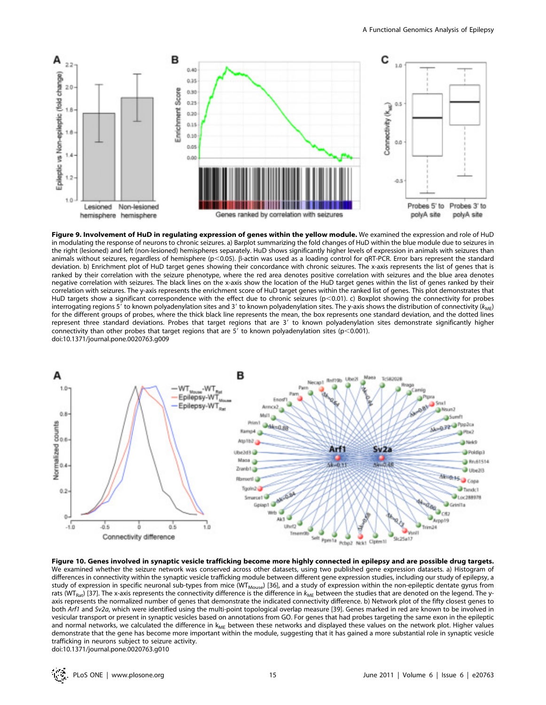

Figure 9. Involvement of HuD in regulating expression of genes within the yellow module. We examined the expression and role of HuD in modulating the response of neurons to chronic seizures. a) Barplot summarizing the fold changes of HuD within the blue module due to seizures in the right (lesioned) and left (non-lesioned) hemispheres separately. HuD shows significantly higher levels of expression in animals with seizures than animals without seizures, regardless of hemisphere ( $p$ <0.05).  $\beta$ -actin was used as a loading control for gRT-PCR. Error bars represent the standard deviation. b) Enrichment plot of HuD target genes showing their concordance with chronic seizures. The x-axis represents the list of genes that is ranked by their correlation with the seizure phenotype, where the red area denotes positive correlation with seizures and the blue area denotes negative correlation with seizures. The black lines on the x-axis show the location of the HuD target genes within the list of genes ranked by their correlation with seizures. The y-axis represents the enrichment score of HuD target genes within the ranked list of genes. This plot demonstrates that HuD targets show a significant correspondence with the effect due to chronic seizures (p<0.01). c) Boxplot showing the connectivity for probes interrogating regions 5' to known polyadenylation sites and 3' to known polyadenylation sites. The y-axis shows the distribution of connectivity ( $k_{\text{ME}}$ ) for the different groups of probes, where the thick black line represents the mean, the box represents one standard deviation, and the dotted lines represent three standard deviations. Probes that target regions that are 3' to known polyadenylation sites demonstrate significantly higher connectivity than other probes that target regions that are  $5'$  to known polyadenylation sites (p<0.001). doi:10.1371/journal.pone.0020763.g009



Figure 10. Genes involved in synaptic vesicle trafficking become more highly connected in epilepsy and are possible drug targets. We examined whether the seizure network was conserved across other datasets, using two published gene expression datasets. a) Histogram of differences in connectivity within the synaptic vesicle trafficking module between different gene expression studies, including our study of epilepsy, a study of expression in specific neuronal sub-types from mice (WT<sub>Mouse</sub>) [36], and a study of expression within the non-epileptic dentate gyrus from rats (WT<sub>Rat</sub>) [37]. The x-axis represents the connectivity difference is the difference in  $k_{ME}$  between the studies that are denoted on the legend. The yaxis represents the normalized number of genes that demonstrate the indicated connectivity difference. b) Network plot of the fifty closest genes to both Arf1 and Sv2a, which were identified using the multi-point topological overlap measure [39]. Genes marked in red are known to be involved in vesicular transport or present in synaptic vesicles based on annotations from GO. For genes that had probes targeting the same exon in the epileptic and normal networks, we calculated the difference in  $k_{MF}$  between these networks and displayed these values on the network plot. Higher values demonstrate that the gene has become more important within the module, suggesting that it has gained a more substantial role in synaptic vesicle trafficking in neurons subject to seizure activity. doi:10.1371/journal.pone.0020763.g010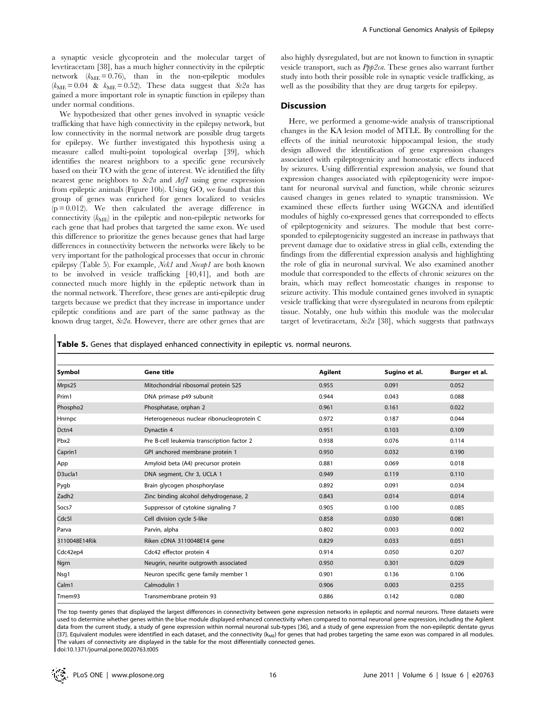a synaptic vesicle glycoprotein and the molecular target of levetiracetam [38], has a much higher connectivity in the epileptic network  $(k_{ME} = 0.76)$ , than in the non-epileptic modules  $(k<sub>ME</sub> = 0.04 \& k<sub>ME</sub> = 0.52)$ . These data suggest that  $Sv2a$  has gained a more important role in synaptic function in epilepsy than under normal conditions.

We hypothesized that other genes involved in synaptic vesicle trafficking that have high connectivity in the epilepsy network, but low connectivity in the normal network are possible drug targets for epilepsy. We further investigated this hypothesis using a measure called multi-point topological overlap [39], which identifies the nearest neighbors to a specific gene recursively based on their TO with the gene of interest. We identified the fifty nearest gene neighbors to  $Sv2a$  and  $Arfl$  using gene expression from epileptic animals (Figure 10b). Using GO, we found that this group of genes was enriched for genes localized to vesicles  $(p = 0.012)$ . We then calculated the average difference in connectivity  $(k_{\text{ME}})$  in the epileptic and non-epileptic networks for each gene that had probes that targeted the same exon. We used this difference to prioritize the genes because genes that had large differences in connectivity between the networks were likely to be very important for the pathological processes that occur in chronic epilepsy (Table 5). For example, Nck1 and Necap1 are both known to be involved in vesicle trafficking [40,41], and both are connected much more highly in the epileptic network than in the normal network. Therefore, these genes are anti-epileptic drug targets because we predict that they increase in importance under epileptic conditions and are part of the same pathway as the known drug target,  $Sv2a$ . However, there are other genes that are

also highly dysregulated, but are not known to function in synaptic vesicle transport, such as Ppp2ca. These genes also warrant further study into both their possible role in synaptic vesicle trafficking, as well as the possibility that they are drug targets for epilepsy.

## **Discussion**

Here, we performed a genome-wide analysis of transcriptional changes in the KA lesion model of MTLE. By controlling for the effects of the initial neurotoxic hippocampal lesion, the study design allowed the identification of gene expression changes associated with epileptogenicity and homeostatic effects induced by seizures. Using differential expression analysis, we found that expression changes associated with epileptogenicity were important for neuronal survival and function, while chronic seizures caused changes in genes related to synaptic transmission. We examined these effects further using WGCNA and identified modules of highly co-expressed genes that corresponded to effects of epileptogenicity and seizures. The module that best corresponded to epileptogenicity suggested an increase in pathways that prevent damage due to oxidative stress in glial cells, extending the findings from the differential expression analysis and highlighting the role of glia in neuronal survival. We also examined another module that corresponded to the effects of chronic seizures on the brain, which may reflect homeostatic changes in response to seizure activity. This module contained genes involved in synaptic vesicle trafficking that were dysregulated in neurons from epileptic tissue. Notably, one hub within this module was the molecular target of levetiracetam,  $Sv2a$  [38], which suggests that pathways

Table 5. Genes that displayed enhanced connectivity in epileptic vs. normal neurons.

| Symbol            | Gene title                                 | Agilent | Sugino et al. | Burger et al. |
|-------------------|--------------------------------------------|---------|---------------|---------------|
| Mrps25            | Mitochondrial ribosomal protein S25        | 0.955   | 0.091         | 0.052         |
| Prim1             | DNA primase p49 subunit                    | 0.944   | 0.043         | 0.088         |
| Phospho2          | Phosphatase, orphan 2                      | 0.961   | 0.161         | 0.022         |
| Hnrnpc            | Heterogeneous nuclear ribonucleoprotein C  | 0.972   | 0.187         | 0.044         |
| Dctn4             | Dynactin 4                                 | 0.951   | 0.103         | 0.109         |
| Pbx2              | Pre B-cell leukemia transcription factor 2 | 0.938   | 0.076         | 0.114         |
| Caprin1           | GPI anchored membrane protein 1            | 0.950   | 0.032         | 0.190         |
| App               | Amyloid beta (A4) precursor protein        | 0.881   | 0.069         | 0.018         |
| D3ucla1           | DNA segment, Chr 3, UCLA 1                 | 0.949   | 0.119         | 0.110         |
| Pygb              | Brain glycogen phosphorylase               | 0.892   | 0.091         | 0.034         |
| Zadh <sub>2</sub> | Zinc binding alcohol dehydrogenase, 2      | 0.843   | 0.014         | 0.014         |
| Socs7             | Suppressor of cytokine signaling 7         | 0.905   | 0.100         | 0.085         |
| Cdc5l             | Cell division cycle 5-like                 | 0.858   | 0.030         | 0.081         |
| Parva             | Parvin, alpha                              | 0.802   | 0.003         | 0.002         |
| 3110048E14Rik     | Riken cDNA 3110048E14 gene                 | 0.829   | 0.033         | 0.051         |
| Cdc42ep4          | Cdc42 effector protein 4                   | 0.914   | 0.050         | 0.207         |
| Ngrn              | Neugrin, neurite outgrowth associated      | 0.950   | 0.301         | 0.029         |
| Nsg1              | Neuron specific gene family member 1       | 0.901   | 0.136         | 0.106         |
| Calm1             | Calmodulin 1                               | 0.906   | 0.003         | 0.255         |
| Tmem93            | Transmembrane protein 93                   | 0.886   | 0.142         | 0.080         |

The top twenty genes that displayed the largest differences in connectivity between gene expression networks in epileptic and normal neurons. Three datasets were used to determine whether genes within the blue module displayed enhanced connectivity when compared to normal neuronal gene expression, including the Agilent data from the current study, a study of gene expression within normal neuronal sub-types [36], and a study of gene expression from the non-epileptic dentate gyrus [37]. Equivalent modules were identified in each dataset, and the connectivity (k<sub>ME</sub>) for genes that had probes targeting the same exon was compared in all modules. The values of connectivity are displayed in the table for the most differentially connected genes.

doi:10.1371/journal.pone.0020763.t005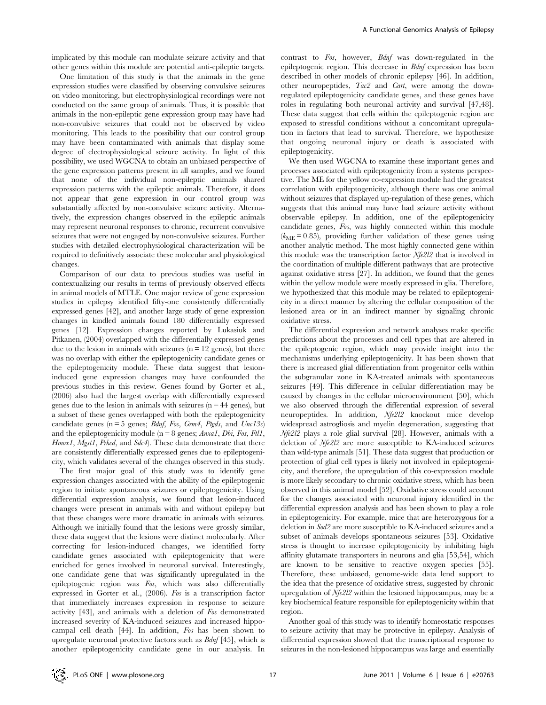implicated by this module can modulate seizure activity and that other genes within this module are potential anti-epileptic targets.

One limitation of this study is that the animals in the gene expression studies were classified by observing convulsive seizures on video monitoring, but electrophysiological recordings were not conducted on the same group of animals. Thus, it is possible that animals in the non-epileptic gene expression group may have had non-convulsive seizures that could not be observed by video monitoring. This leads to the possibility that our control group may have been contaminated with animals that display some degree of electrophysiological seizure activity. In light of this possibility, we used WGCNA to obtain an unbiased perspective of the gene expression patterns present in all samples, and we found that none of the individual non-epileptic animals shared expression patterns with the epileptic animals. Therefore, it does not appear that gene expression in our control group was substantially affected by non-convulsive seizure activity. Alternatively, the expression changes observed in the epileptic animals may represent neuronal responses to chronic, recurrent convulsive seizures that were not engaged by non-convulsive seizures. Further studies with detailed electrophysiological characterization will be required to definitively associate these molecular and physiological changes.

Comparison of our data to previous studies was useful in contextualizing our results in terms of previously observed effects in animal models of MTLE. One major review of gene expression studies in epilepsy identified fifty-one consistently differentially expressed genes [42], and another large study of gene expression changes in kindled animals found 180 differentially expressed genes [12]. Expression changes reported by Lukasiuk and Pitkanen, (2004) overlapped with the differentially expressed genes due to the lesion in animals with seizures  $(n = 12 \text{ genes})$ , but there was no overlap with either the epileptogenicity candidate genes or the epileptogenicity module. These data suggest that lesioninduced gene expression changes may have confounded the previous studies in this review. Genes found by Gorter et al., (2006) also had the largest overlap with differentially expressed genes due to the lesion in animals with seizures  $(n = 44$  genes), but a subset of these genes overlapped with both the epileptogenicity candidate genes ( $n = 5$  genes; *Bdnf*, *Fos*, *Grm4*, *Ptgds*, and *Unc13c*) and the epileptogenicity module ( $n = 8$  genes; Anxal, Dbi, Fos, Ftll, Hmox1, Mgst1, Prkcd, and Sdc4). These data demonstrate that there are consistently differentially expressed genes due to epileptogenicity, which validates several of the changes observed in this study.

The first major goal of this study was to identify gene expression changes associated with the ability of the epileptogenic region to initiate spontaneous seizures or epileptogenicity. Using differential expression analysis, we found that lesion-induced changes were present in animals with and without epilepsy but that these changes were more dramatic in animals with seizures. Although we initially found that the lesions were grossly similar, these data suggest that the lesions were distinct molecularly. After correcting for lesion-induced changes, we identified forty candidate genes associated with epileptogenicity that were enriched for genes involved in neuronal survival. Interestingly, one candidate gene that was significantly upregulated in the epileptogenic region was Fos, which was also differentially expressed in Gorter et al., (2006). Fos is a transcription factor that immediately increases expression in response to seizure activity [43], and animals with a deletion of Fos demonstrated increased severity of KA-induced seizures and increased hippocampal cell death [44]. In addition, Fos has been shown to upregulate neuronal protective factors such as Bdnf [45], which is another epileptogenicity candidate gene in our analysis. In

contrast to Fos, however, Bdnf was down-regulated in the epileptogenic region. This decrease in Bdnf expression has been described in other models of chronic epilepsy [46]. In addition, other neuropeptides, Tac2 and Cart, were among the downregulated epileptogenicity candidate genes, and these genes have roles in regulating both neuronal activity and survival [47,48]. These data suggest that cells within the epileptogenic region are exposed to stressful conditions without a concomitant upregulation in factors that lead to survival. Therefore, we hypothesize that ongoing neuronal injury or death is associated with epileptogenicity.

We then used WGCNA to examine these important genes and processes associated with epileptogenicity from a systems perspective. The ME for the yellow co-expression module had the greatest correlation with epileptogenicity, although there was one animal without seizures that displayed up-regulation of these genes, which suggests that this animal may have had seizure activity without observable epilepsy. In addition, one of the epileptogenicity candidate genes, Fos, was highly connected within this module  $(k<sub>ME</sub> = 0.85)$ , providing further validation of these genes using another analytic method. The most highly connected gene within this module was the transcription factor Nfe2l2 that is involved in the coordination of multiple different pathways that are protective against oxidative stress [27]. In addition, we found that the genes within the yellow module were mostly expressed in glia. Therefore, we hypothesized that this module may be related to epileptogenicity in a direct manner by altering the cellular composition of the lesioned area or in an indirect manner by signaling chronic oxidative stress.

The differential expression and network analyses make specific predictions about the processes and cell types that are altered in the epileptogenic region, which may provide insight into the mechanisms underlying epileptogenicity. It has been shown that there is increased glial differentiation from progenitor cells within the subgranular zone in KA-treated animals with spontaneous seizures [49]. This difference in cellular differentiation may be caused by changes in the cellular microenvironment [50], which we also observed through the differential expression of several neuropeptides. In addition, Nfe2l2 knockout mice develop widespread astrogliosis and myelin degeneration, suggesting that Nfe2l2 plays a role glial survival [28]. However, animals with a deletion of Nfe2l2 are more susceptible to KA-induced seizures than wild-type animals [51]. These data suggest that production or protection of glial cell types is likely not involved in epileptogenicity, and therefore, the upregulation of this co-expression module is more likely secondary to chronic oxidative stress, which has been observed in this animal model [52]. Oxidative stress could account for the changes associated with neuronal injury identified in the differential expression analysis and has been shown to play a role in epileptogenicity. For example, mice that are heterozygous for a deletion in Sod2 are more susceptible to KA-induced seizures and a subset of animals develops spontaneous seizures [53]. Oxidative stress is thought to increase epileptogenicity by inhibiting high affinity glutamate transporters in neurons and glia [53,54], which are known to be sensitive to reactive oxygen species [55]. Therefore, these unbiased, genome-wide data lend support to the idea that the presence of oxidative stress, suggested by chronic upregulation of Nfe2l2 within the lesioned hippocampus, may be a key biochemical feature responsible for epileptogenicity within that region.

Another goal of this study was to identify homeostatic responses to seizure activity that may be protective in epilepsy. Analysis of differential expression showed that the transcriptional response to seizures in the non-lesioned hippocampus was large and essentially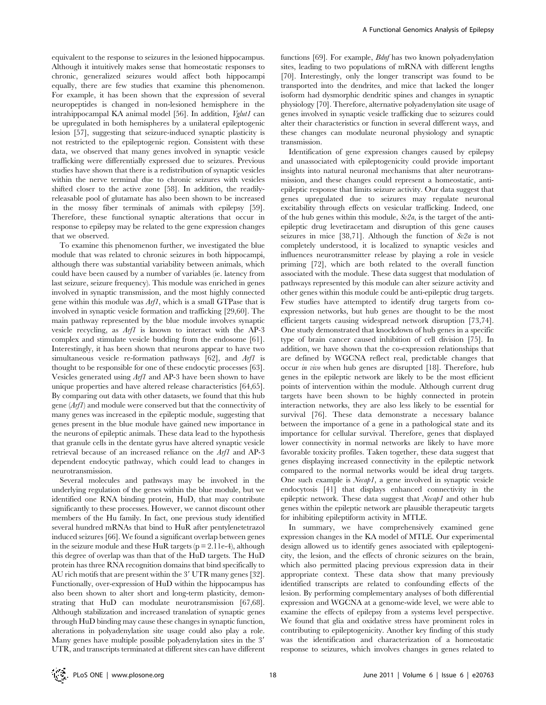equivalent to the response to seizures in the lesioned hippocampus. Although it intuitively makes sense that homeostatic responses to chronic, generalized seizures would affect both hippocampi equally, there are few studies that examine this phenomenon. For example, it has been shown that the expression of several neuropeptides is changed in non-lesioned hemisphere in the intrahippocampal KA animal model [56]. In addition, *Vglut1* can be upregulated in both hemispheres by a unilateral epileptogenic lesion [57], suggesting that seizure-induced synaptic plasticity is not restricted to the epileptogenic region. Consistent with these data, we observed that many genes involved in synaptic vesicle trafficking were differentially expressed due to seizures. Previous studies have shown that there is a redistribution of synaptic vesicles within the nerve terminal due to chronic seizures with vesicles shifted closer to the active zone [58]. In addition, the readilyreleasable pool of glutamate has also been shown to be increased in the mossy fiber terminals of animals with epilepsy [59]. Therefore, these functional synaptic alterations that occur in response to epilepsy may be related to the gene expression changes that we observed.

To examine this phenomenon further, we investigated the blue module that was related to chronic seizures in both hippocampi, although there was substantial variability between animals, which could have been caused by a number of variables (ie. latency from last seizure, seizure frequency). This module was enriched in genes involved in synaptic transmission, and the most highly connected gene within this module was Arf1, which is a small GTPase that is involved in synaptic vesicle formation and trafficking [29,60]. The main pathway represented by the blue module involves synaptic vesicle recycling, as Arf1 is known to interact with the AP-3 complex and stimulate vesicle budding from the endosome [61]. Interestingly, it has been shown that neurons appear to have two simultaneous vesicle re-formation pathways [62], and *Arf1* is thought to be responsible for one of these endocytic processes [63]. Vesicles generated using Arf1 and AP-3 have been shown to have unique properties and have altered release characteristics [64,65]. By comparing out data with other datasets, we found that this hub gene  $(Arf)$  and module were conserved but that the connectivity of many genes was increased in the epileptic module, suggesting that genes present in the blue module have gained new importance in the neurons of epileptic animals. These data lead to the hypothesis that granule cells in the dentate gyrus have altered synaptic vesicle retrieval because of an increased reliance on the Arf1 and AP-3 dependent endocytic pathway, which could lead to changes in neurotransmission.

Several molecules and pathways may be involved in the underlying regulation of the genes within the blue module, but we identified one RNA binding protein, HuD, that may contribute significantly to these processes. However, we cannot discount other members of the Hu family. In fact, one previous study identified several hundred mRNAs that bind to HuR after pentylenetetrazol induced seizures [66]. We found a significant overlap between genes in the seizure module and these HuR targets ( $p = 2.11e-4$ ), although this degree of overlap was than that of the HuD targets. The HuD protein has three RNA recognition domains that bind specifically to AU rich motifs that are present within the 3' UTR many genes [32]. Functionally, over-expression of HuD within the hippocampus has also been shown to alter short and long-term plasticity, demonstrating that HuD can modulate neurotransmission [67,68]. Although stabilization and increased translation of synaptic genes through HuD binding may cause these changes in synaptic function, alterations in polyadenylation site usage could also play a role. Many genes have multiple possible polyadenylation sites in the 3<sup>1</sup> UTR, and transcripts terminated at different sites can have different

functions [69]. For example, Bdnf has two known polyadenylation sites, leading to two populations of mRNA with different lengths [70]. Interestingly, only the longer transcript was found to be transported into the dendrites, and mice that lacked the longer isoform had dysmorphic dendritic spines and changes in synaptic physiology [70]. Therefore, alternative polyadenylation site usage of genes involved in synaptic vesicle trafficking due to seizures could alter their characteristics or function in several different ways, and these changes can modulate neuronal physiology and synaptic transmission.

Identification of gene expression changes caused by epilepsy and unassociated with epileptogenicity could provide important insights into natural neuronal mechanisms that alter neurotransmission, and these changes could represent a homeostatic, antiepileptic response that limits seizure activity. Our data suggest that genes upregulated due to seizures may regulate neuronal excitability through effects on vesicular trafficking. Indeed, one of the hub genes within this module,  $Sv2a$ , is the target of the antiepileptic drug levetiracetam and disruption of this gene causes seizures in mice [38,71]. Although the function of  $Sv2a$  is not completely understood, it is localized to synaptic vesicles and influences neurotransmitter release by playing a role in vesicle priming [72], which are both related to the overall function associated with the module. These data suggest that modulation of pathways represented by this module can alter seizure activity and other genes within this module could be anti-epileptic drug targets. Few studies have attempted to identify drug targets from coexpression networks, but hub genes are thought to be the most efficient targets causing widespread network disruption [73,74]. One study demonstrated that knockdown of hub genes in a specific type of brain cancer caused inhibition of cell division [75]. In addition, we have shown that the co-expression relationships that are defined by WGCNA reflect real, predictable changes that occur in vivo when hub genes are disrupted [18]. Therefore, hub genes in the epileptic network are likely to be the most efficient points of intervention within the module. Although current drug targets have been shown to be highly connected in protein interaction networks, they are also less likely to be essential for survival [76]. These data demonstrate a necessary balance between the importance of a gene in a pathological state and its importance for cellular survival. Therefore, genes that displayed lower connectivity in normal networks are likely to have more favorable toxicity profiles. Taken together, these data suggest that genes displaying increased connectivity in the epileptic network compared to the normal networks would be ideal drug targets. One such example is Necap1, a gene involved in synaptic vesicle endocytosis [41] that displays enhanced connectivity in the epileptic network. These data suggest that *Necap1* and other hub genes within the epileptic network are plausible therapeutic targets for inhibiting epileptiform activity in MTLE.

In summary, we have comprehensively examined gene expression changes in the KA model of MTLE. Our experimental design allowed us to identify genes associated with epileptogenicity, the lesion, and the effects of chronic seizures on the brain, which also permitted placing previous expression data in their appropriate context. These data show that many previously identified transcripts are related to confounding effects of the lesion. By performing complementary analyses of both differential expression and WGCNA at a genome-wide level, we were able to examine the effects of epilepsy from a systems level perspective. We found that glia and oxidative stress have prominent roles in contributing to epileptogenicity. Another key finding of this study was the identification and characterization of a homeostatic response to seizures, which involves changes in genes related to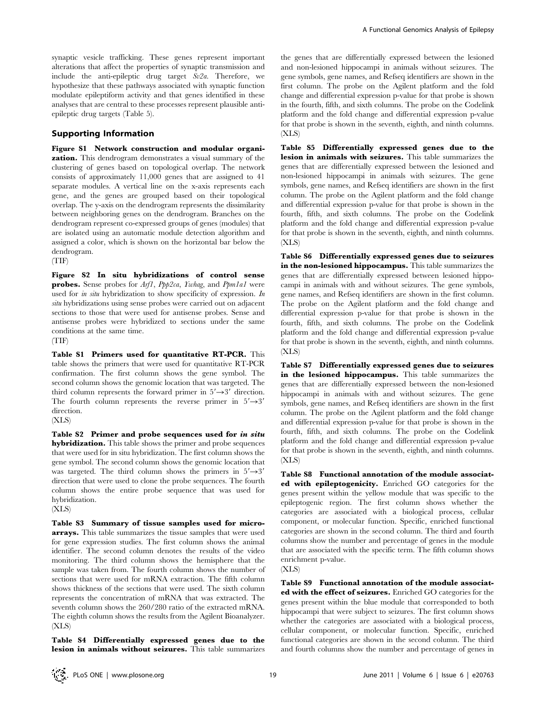synaptic vesicle trafficking. These genes represent important alterations that affect the properties of synaptic transmission and include the anti-epileptic drug target Sv2a. Therefore, we hypothesize that these pathways associated with synaptic function modulate epileptiform activity and that genes identified in these analyses that are central to these processes represent plausible antiepileptic drug targets (Table 5).

### Supporting Information

Figure S1 Network construction and modular organization. This dendrogram demonstrates a visual summary of the clustering of genes based on topological overlap. The network consists of approximately 11,000 genes that are assigned to 41 separate modules. A vertical line on the x-axis represents each gene, and the genes are grouped based on their topological overlap. The y-axis on the dendrogram represents the dissimilarity between neighboring genes on the dendrogram. Branches on the dendrogram represent co-expressed groups of genes (modules) that are isolated using an automatic module detection algorithm and assigned a color, which is shown on the horizontal bar below the dendrogram. (TIF)

Figure S2 In situ hybridizations of control sense probes. Sense probes for Arf1, Ppp2ca, Ywhag, and Ppm1a1 were used for *in situ* hybridization to show specificity of expression. In situ hybridizations using sense probes were carried out on adjacent sections to those that were used for antisense probes. Sense and antisense probes were hybridized to sections under the same conditions at the same time.

(TIF)

Table S1 Primers used for quantitative RT-PCR. This table shows the primers that were used for quantitative RT-PCR confirmation. The first column shows the gene symbol. The second column shows the genomic location that was targeted. The third column represents the forward primer in  $5' \rightarrow 3'$  direction. The fourth column represents the reverse primer in  $5' \rightarrow 3'$ direction.

#### (XLS)

Table S2 Primer and probe sequences used for in situ hybridization. This table shows the primer and probe sequences that were used for in situ hybridization. The first column shows the gene symbol. The second column shows the genomic location that was targeted. The third column shows the primers in  $5' \rightarrow 3'$ direction that were used to clone the probe sequences. The fourth column shows the entire probe sequence that was used for hybridization.

## (XLS)

Table S3 Summary of tissue samples used for micro**arrays.** This table summarizes the tissue samples that were used for gene expression studies. The first column shows the animal identifier. The second column denotes the results of the video monitoring. The third column shows the hemisphere that the sample was taken from. The fourth column shows the number of sections that were used for mRNA extraction. The fifth column shows thickness of the sections that were used. The sixth column represents the concentration of mRNA that was extracted. The seventh column shows the 260/280 ratio of the extracted mRNA. The eighth column shows the results from the Agilent Bioanalyzer. (XLS)

Table S4 Differentially expressed genes due to the lesion in animals without seizures. This table summarizes the genes that are differentially expressed between the lesioned and non-lesioned hippocampi in animals without seizures. The gene symbols, gene names, and Refseq identifiers are shown in the first column. The probe on the Agilent platform and the fold change and differential expression p-value for that probe is shown in the fourth, fifth, and sixth columns. The probe on the Codelink platform and the fold change and differential expression p-value for that probe is shown in the seventh, eighth, and ninth columns. (XLS)

Table S5 Differentially expressed genes due to the lesion in animals with seizures. This table summarizes the genes that are differentially expressed between the lesioned and non-lesioned hippocampi in animals with seizures. The gene symbols, gene names, and Refseq identifiers are shown in the first column. The probe on the Agilent platform and the fold change and differential expression p-value for that probe is shown in the fourth, fifth, and sixth columns. The probe on the Codelink platform and the fold change and differential expression p-value for that probe is shown in the seventh, eighth, and ninth columns. (XLS)

Table S6 Differentially expressed genes due to seizures in the non-lesioned hippocampus. This table summarizes the genes that are differentially expressed between lesioned hippocampi in animals with and without seizures. The gene symbols, gene names, and Refseq identifiers are shown in the first column. The probe on the Agilent platform and the fold change and differential expression p-value for that probe is shown in the fourth, fifth, and sixth columns. The probe on the Codelink platform and the fold change and differential expression p-value for that probe is shown in the seventh, eighth, and ninth columns. (XLS)

Table S7 Differentially expressed genes due to seizures in the lesioned hippocampus. This table summarizes the genes that are differentially expressed between the non-lesioned hippocampi in animals with and without seizures. The gene symbols, gene names, and Refseq identifiers are shown in the first column. The probe on the Agilent platform and the fold change and differential expression p-value for that probe is shown in the fourth, fifth, and sixth columns. The probe on the Codelink platform and the fold change and differential expression p-value for that probe is shown in the seventh, eighth, and ninth columns. (XLS)

Table S8 Functional annotation of the module associated with epileptogenicity. Enriched GO categories for the genes present within the yellow module that was specific to the epileptogenic region. The first column shows whether the categories are associated with a biological process, cellular component, or molecular function. Specific, enriched functional categories are shown in the second column. The third and fourth columns show the number and percentage of genes in the module that are associated with the specific term. The fifth column shows enrichment p-value.

(XLS)

Table S9 Functional annotation of the module associated with the effect of seizures. Enriched GO categories for the genes present within the blue module that corresponded to both hippocampi that were subject to seizures. The first column shows whether the categories are associated with a biological process, cellular component, or molecular function. Specific, enriched functional categories are shown in the second column. The third and fourth columns show the number and percentage of genes in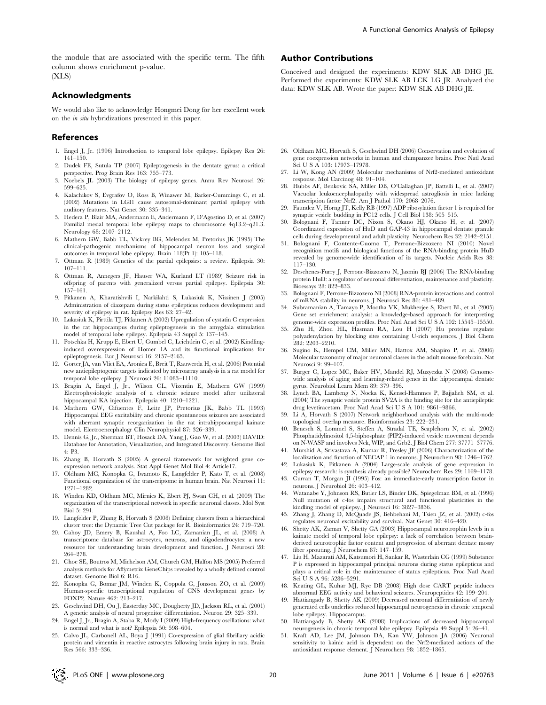the module that are associated with the specific term. The fifth column shows enrichment p-value. (XLS)

## Acknowledgments

We would also like to acknowledge Hongmei Dong for her excellent work on the in situ hybridizations presented in this paper.

#### References

- 1. Engel J, Jr. (1996) Introduction to temporal lobe epilepsy. Epilepsy Res 26: 141–150.
- 2. Dudek FE, Sutula TP (2007) Epileptogenesis in the dentate gyrus: a critical perspective. Prog Brain Res 163: 755–773.
- 3. Noebels JL (2003) The biology of epilepsy genes. Annu Rev Neurosci 26: 599–625.
- 4. Kalachikov S, Evgrafov O, Ross B, Winawer M, Barker-Cummings C, et al. (2002) Mutations in LGI1 cause autosomal-dominant partial epilepsy with auditory features. Nat Genet 30: 335–341.
- 5. Hedera P, Blair MA, Andermann E, Andermann F, D'Agostino D, et al. (2007) Familial mesial temporal lobe epilepsy maps to chromosome 4q13.2–q21.3. Neurology 68: 2107–2112.
- 6. Mathern GW, Babb TL, Vickrey BG, Melendez M, Pretorius JK (1995) The clinical-pathogenic mechanisms of hippocampal neuron loss and surgical outcomes in temporal lobe epilepsy. Brain 118(Pt 1): 105–118.
- 7. Ottman R (1989) Genetics of the partial epilepsies: a review. Epilepsia 30: 107–111.
- 8. Ottman R, Annegers JF, Hauser WA, Kurland LT (1989) Seizure risk in offspring of parents with generalized versus partial epilepsy. Epilepsia 30: 157–161.
- 9. Pitkanen A, Kharatishvili I, Narkilahti S, Lukasiuk K, Nissinen J (2005) Administration of diazepam during status epilepticus reduces development and severity of epilepsy in rat. Epilepsy Res 63: 27–42.
- 10. Lukasiuk K, Pirttila TJ, Pitkanen A (2002) Upregulation of cystatin C expression in the rat hippocampus during epileptogenesis in the amygdala stimulation model of temporal lobe epilepsy. Epilepsia 43 Suppl 5: 137–145.
- 11. Potschka H, Krupp E, Ebert U, Gumbel C, Leichtlein C, et al. (2002) Kindlinginduced overexpression of Homer 1A and its functional implications for epileptogenesis. Eur J Neurosci 16: 2157–2165.
- 12. Gorter JA, van Vliet EA, Aronica E, Breit T, Rauwerda H, et al. (2006) Potential new antiepileptogenic targets indicated by microarray analysis in a rat model for temporal lobe epilepsy. J Neurosci 26: 11083–11110.
- 13. Bragin A, Engel J, Jr., Wilson CL, Vizentin E, Mathern GW (1999) Electrophysiologic analysis of a chronic seizure model after unilateral hippocampal KA injection. Epilepsia 40: 1210–1221.
- 14. Mathern GW, Cifuentes F, Leite JP, Pretorius JK, Babb TL (1993) Hippocampal EEG excitability and chronic spontaneous seizures are associated with aberrant synaptic reorganization in the rat intrahippocampal kainate model. Electroencephalogr Clin Neurophysiol 87: 326–339.
- 15. Dennis G, Jr., Sherman BT, Hosack DA, Yang J, Gao W, et al. (2003) DAVID: Database for Annotation, Visualization, and Integrated Discovery. Genome Biol 4: P3.
- 16. Zhang B, Horvath S (2005) A general framework for weighted gene coexpression network analysis. Stat Appl Genet Mol Biol 4: Article17.
- 17. Oldham MC, Konopka G, Iwamoto K, Langfelder P, Kato T, et al. (2008) Functional organization of the transcriptome in human brain. Nat Neurosci 11: 1271–1282.
- 18. Winden KD, Oldham MC, Mirnics K, Ebert PJ, Swan CH, et al. (2009) The organization of the transcriptional network in specific neuronal classes. Mol Syst Biol 5: 291.
- 19. Langfelder P, Zhang B, Horvath S (2008) Defining clusters from a hierarchical cluster tree: the Dynamic Tree Cut package for R. Bioinformatics 24: 719–720.
- 20. Cahoy JD, Emery B, Kaushal A, Foo LC, Zamanian JL, et al. (2008) A transcriptome database for astrocytes, neurons, and oligodendrocytes: a new resource for understanding brain development and function. J Neurosci 28: 264–278.
- 21. Choe SE, Boutros M, Michelson AM, Church GM, Halfon MS (2005) Preferred analysis methods for Affymetrix GeneChips revealed by a wholly defined control dataset. Genome Biol 6: R16.
- 22. Konopka G, Bomar JM, Winden K, Coppola G, Jonsson ZO, et al. (2009) Human-specific transcriptional regulation of CNS development genes by FOXP2. Nature 462: 213–217.
- 23. Geschwind DH, Ou J, Easterday MC, Dougherty JD, Jackson RL, et al. (2001) A genetic analysis of neural progenitor differentiation. Neuron 29: 325–339.
- 24. Engel J, Jr., Bragin A, Staba R, Mody I (2009) High-frequency oscillations: what is normal and what is not? Epilepsia 50: 598–604.
- 25. Calvo JL, Carbonell AL, Boya J (1991) Co-expression of glial fibrillary acidic protein and vimentin in reactive astrocytes following brain injury in rats. Brain Res 566: 333–336.

### Author Contributions

Conceived and designed the experiments: KDW SLK AB DHG JE. Performed the experiments: KDW SLK AB LCK LG JR. Analyzed the data: KDW SLK AB. Wrote the paper: KDW SLK AB DHG JE.

- 26. Oldham MC, Horvath S, Geschwind DH (2006) Conservation and evolution of gene coexpression networks in human and chimpanzee brains. Proc Natl Acad Sci U S A 103: 17973–17978.
- 27. Li W, Kong AN (2009) Molecular mechanisms of Nrf2-mediated antioxidant response. Mol Carcinog 48: 91–104.
- 28. Hubbs AF, Benkovic SA, Miller DB, O'Callaghan JP, Battelli L, et al. (2007) Vacuolar leukoencephalopathy with widespread astrogliosis in mice lacking transcription factor Nrf2. Am J Pathol 170: 2068–2076.
- 29. Faundez V, Horng JT, Kelly RB (1997) ADP ribosylation factor 1 is required for synaptic vesicle budding in PC12 cells. J Cell Biol 138: 505–515.
- 30. Bolognani F, Tanner DC, Nixon S, Okano HJ, Okano H, et al. (2007) Coordinated expression of HuD and GAP-43 in hippocampal dentate granule cells during developmental and adult plasticity. Neurochem Res 32: 2142–2151.
- 31. Bolognani F, Contente-Cuomo T, Perrone-Bizzozero NI (2010) Novel recognition motifs and biological functions of the RNA-binding protein HuD revealed by genome-wide identification of its targets. Nucleic Acids Res 38: 117–130.
- 32. Deschenes-Furry J, Perrone-Bizzozero N, Jasmin BJ (2006) The RNA-binding protein HuD: a regulator of neuronal differentiation, maintenance and plasticity. Bioessays 28: 822–833.
- 33. Bolognani F, Perrone-Bizzozero NI (2008) RNA-protein interactions and control of mRNA stability in neurons. J Neurosci Res 86: 481–489.
- 34. Subramanian A, Tamayo P, Mootha VK, Mukherjee S, Ebert BL, et al. (2005) Gene set enrichment analysis: a knowledge-based approach for interpreting genome-wide expression profiles. Proc Natl Acad Sci  $\dot{\text{U}}$  S A 102: 15545–15550.
- 35. Zhu H, Zhou HL, Hasman RA, Lou H (2007) Hu proteins regulate polyadenylation by blocking sites containing U-rich sequences. J Biol Chem 282: 2203–2210.
- 36. Sugino K, Hempel CM, Miller MN, Hattox AM, Shapiro P, et al. (2006) Molecular taxonomy of major neuronal classes in the adult mouse forebrain. Nat Neurosci 9: 99–107.
- 37. Burger C, Lopez MC, Baker HV, Mandel RJ, Muzyczka N (2008) Genomewide analysis of aging and learning-related genes in the hippocampal dentate gyrus. Neurobiol Learn Mem 89: 379–396.
- 38. Lynch BA, Lambeng N, Nocka K, Kensel-Hammes P, Bajjalieh SM, et al. (2004) The synaptic vesicle protein SV2A is the binding site for the antiepileptic drug levetiracetam. Proc Natl Acad Sci U S A 101: 9861–9866.
- 39. Li A, Horvath S (2007) Network neighborhood analysis with the multi-node topological overlap measure. Bioinformatics 23: 222–231.
- 40. Benesch S, Lommel S, Steffen A, Stradal TE, Scaplehorn N, et al. (2002) Phosphatidylinositol 4,5-biphosphate (PIP2)-induced vesicle movement depends on N-WASP and involves Nck, WIP, and Grb2. J Biol Chem 277: 37771–37776.
- 41. Murshid A, Srivastava A, Kumar R, Presley JF (2006) Characterization of the localization and function of NECAP 1 in neurons. J Neurochem 98: 1746–1762.
- 42. Lukasiuk K, Pitkanen A (2004) Large-scale analysis of gene expression in epilepsy research: is synthesis already possible? Neurochem Res 29: 1169–1178.
- 43. Curran T, Morgan JI (1995) Fos: an immediate-early transcription factor in neurons. J Neurobiol 26: 403–412.
- 44. Watanabe Y, Johnson RS, Butler LS, Binder DK, Spiegelman BM, et al. (1996) Null mutation of c-fos impairs structural and functional plasticities in the kindling model of epilepsy. J Neurosci 16: 3827–3836.
- 45. Zhang J, Zhang D, McQuade JS, Behbehani M, Tsien JZ, et al. (2002) c-fos regulates neuronal excitability and survival. Nat Genet 30: 416–420.
- 46. Shetty AK, Zaman V, Shetty GA (2003) Hippocampal neurotrophin levels in a kainate model of temporal lobe epilepsy: a lack of correlation between brainderived neurotrophic factor content and progression of aberrant dentate mossy fiber sprouting. J Neurochem 87: 147–159.
- 47. Liu H, Mazarati AM, Katsumori H, Sankar R, Wasterlain CG (1999) Substance P is expressed in hippocampal principal neurons during status epilepticus and plays a critical role in the maintenance of status epilepticus. Proc Natl Acad Sci U S A 96: 5286–5291.
- 48. Keating GL, Kuhar MJ, Rye DB (2008) High dose CART peptide induces abnormal EEG activity and behavioral seizures. Neuropeptides 42: 199–204.
- 49. Hattiangady B, Shetty AK (2009) Decreased neuronal differentiation of newly generated cells underlies reduced hippocampal neurogenesis in chronic temporal lobe epilepsy. Hippocampus.
- 50. Hattiangady B, Shetty AK (2008) Implications of decreased hippocampal neurogenesis in chronic temporal lobe epilepsy. Epilepsia 49 Suppl 5: 26–41.
- 51. Kraft AD, Lee JM, Johnson DA, Kan YW, Johnson JA (2006) Neuronal sensitivity to kainic acid is dependent on the Nrf2-mediated actions of the antioxidant response element. J Neurochem 98: 1852–1865.